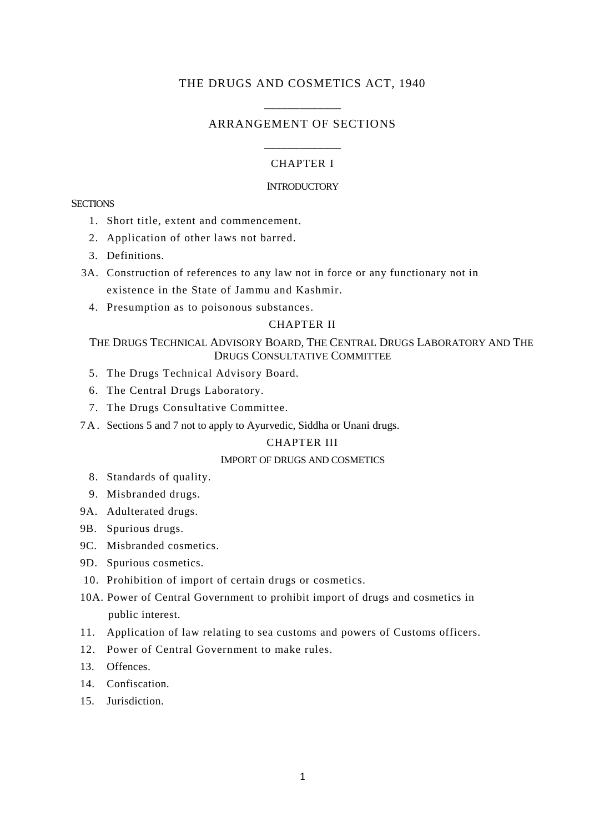# THE DRUGS AND COSMETICS ACT, 1940

# \_\_\_\_\_\_\_\_\_\_\_\_\_ ARRANGEMENT OF SECTIONS

\_\_\_\_\_\_\_\_\_\_\_\_\_

# CHAPTER I

#### **INTRODUCTORY**

### **SECTIONS**

- 1. Short title, extent and commencement.
- 2. Application of other laws not barred.
- 3. Definitions.
- 3A. Construction of references to any law not in force or any functionary not in existence in the State of Jammu and Kashmir.
	- 4. Presumption as to poisonous substances.

### CHAPTER II

# THE DRUGS TECHNICAL ADVISORY BOARD, THE CENTRAL DRUGS LABORATORY AND THE DRUGS CONSULTATIVE COMMITTEE

- 5. The Drugs Technical Advisory Board.
- 6. The Central Drugs Laboratory.
- 7. The Drugs Consultative Committee.
- 7 A . Sections 5 and 7 not to apply to Ayurvedic, Siddha or Unani drugs.

## CHAPTER III

# IMPORT OF DRUGS AND COSMETICS

- 8. Standards of quality.
- 9. Misbranded drugs.
- 9A. Adulterated drugs.
- 9B. Spurious drugs.
- 9C. Misbranded cosmetics.
- 9D. Spurious cosmetics.
- 10. Prohibition of import of certain drugs or cosmetics.
- 10A. Power of Central Government to prohibit import of drugs and cosmetics in public interest.
- 11. Application of law relating to sea customs and powers of Customs officers.
- 12. Power of Central Government to make rules.
- 13. Offences.
- 14. Confiscation.
- 15. Jurisdiction.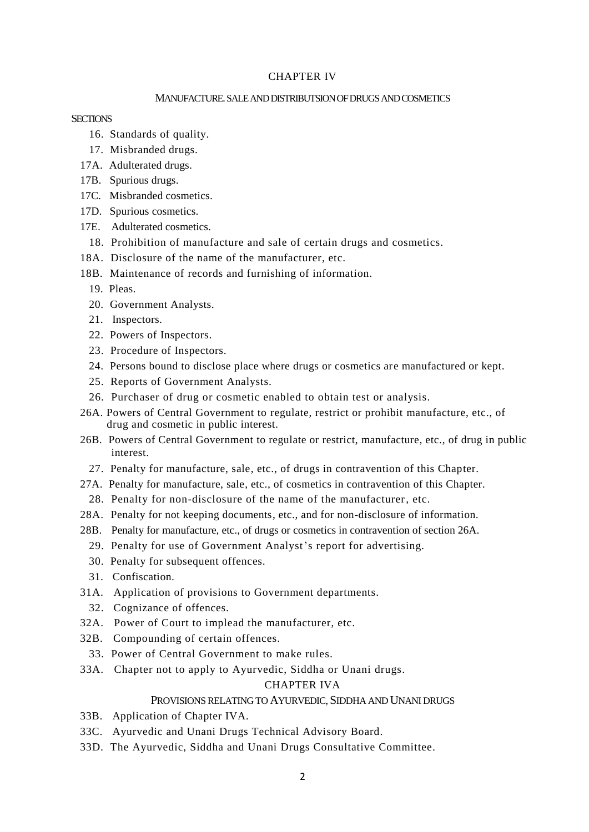### CHAPTER IV

#### MANUFACTURE. SALE AND DISTRIBUTSION OF DRUGS AND COSMETICS

#### **SECTIONS**

- 16. Standards of quality.
- 17. Misbranded drugs.
- 17A. Adulterated drugs.
- 17B. Spurious drugs.
- 17C. Misbranded cosmetics.
- 17D. Spurious cosmetics.
- 17E. Adulterated cosmetics.
- 18. Prohibition of manufacture and sale of certain drugs and cosmetics.
- 18A. Disclosure of the name of the manufacturer, etc.
- 18B. Maintenance of records and furnishing of information.
	- 19. Pleas.
	- 20. Government Analysts.
	- 21. Inspectors.
	- 22. Powers of Inspectors.
	- 23. Procedure of Inspectors.
	- 24. Persons bound to disclose place where drugs or cosmetics are manufactured or kept.
	- 25. Reports of Government Analysts.
	- 26. Purchaser of drug or cosmetic enabled to obtain test or analysis.
- 26A. Powers of Central Government to regulate, restrict or prohibit manufacture, etc., of drug and cosmetic in public interest.
- 26B. Powers of Central Government to regulate or restrict, manufacture, etc., of drug in public interest.
	- 27. Penalty for manufacture, sale, etc., of drugs in contravention of this Chapter.
- 27A. Penalty for manufacture, sale, etc., of cosmetics in contravention of this Chapter. 28. Penalty for non-disclosure of the name of the manufacturer, etc.
- 28A. Penalty for not keeping documents, etc., and for non-disclosure of information.
- 28B. Penalty for manufacture, etc., of drugs or cosmetics in contravention of section 26A.
- 29. Penalty for use of Government Analyst's report for advertising.
	- 30. Penalty for subsequent offences.
	- 31. Confiscation.
- 31A. Application of provisions to Government departments.
- 32. Cognizance of offences.
- 32A. Power of Court to implead the manufacturer, etc.
- 32B. Compounding of certain offences.
- 33. Power of Central Government to make rules.
- 33A. Chapter not to apply to Ayurvedic, Siddha or Unani drugs.

#### CHAPTER IVA

### PROVISIONS RELATING TO AYURVEDIC, SIDDHA AND UNANI DRUGS

- 33B. Application of Chapter IVA.
- 33C. Ayurvedic and Unani Drugs Technical Advisory Board.
- 33D. The Ayurvedic, Siddha and Unani Drugs Consultative Committee.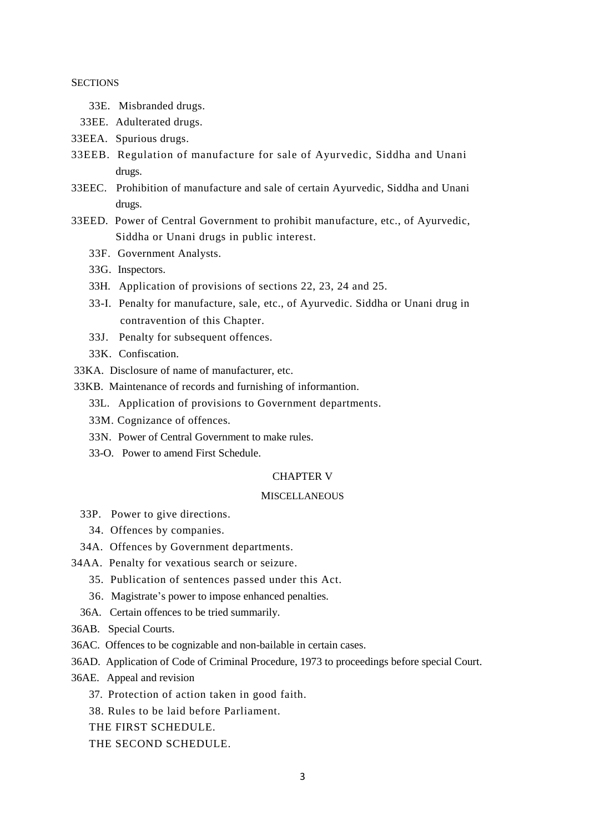### **SECTIONS**

- 33E. Misbranded drugs.
- 33EE. Adulterated drugs.
- 33EEA. Spurious drugs.
- 33EEB. Regulation of manufacture for sale of Ayurvedic, Siddha and Unani drugs.
- 33EEC. Prohibition of manufacture and sale of certain Ayurvedic, Siddha and Unani drugs.
- 33EED. Power of Central Government to prohibit manufacture, etc., of Ayurvedic, Siddha or Unani drugs in public interest.
	- 33F. Government Analysts.
	- 33G. Inspectors.
	- 33H. Application of provisions of sections 22, 23, 24 and 25.
	- 33-I. Penalty for manufacture, sale, etc., of Ayurvedic. Siddha or Unani drug in contravention of this Chapter.
	- 33J. Penalty for subsequent offences.
	- 33K. Confiscation.
- 33KA. Disclosure of name of manufacturer, etc.
- 33KB. Maintenance of records and furnishing of informantion.
	- 33L. Application of provisions to Government departments.
	- 33M. Cognizance of offences.
	- 33N. Power of Central Government to make rules.
	- 33-O. Power to amend First Schedule.

#### CHAPTER V

#### **MISCELLANEOUS**

- 33P. Power to give directions.
	- 34. Offences by companies.
- 34A. Offences by Government departments.
- 34AA. Penalty for vexatious search or seizure.
	- 35. Publication of sentences passed under this Act.
	- 36. Magistrate's power to impose enhanced penalties.
	- 36A. Certain offences to be tried summarily.
- 36AB. Special Courts.
- 36AC. Offences to be cognizable and non-bailable in certain cases.
- 36AD. Application of Code of Criminal Procedure, 1973 to proceedings before special Court.
- 36AE. Appeal and revision
	- 37. Protection of action taken in good faith.
	- 38. Rules to be laid before Parliament.
	- THE FIRST SCHEDULE.
	- THE SECOND SCHEDULE.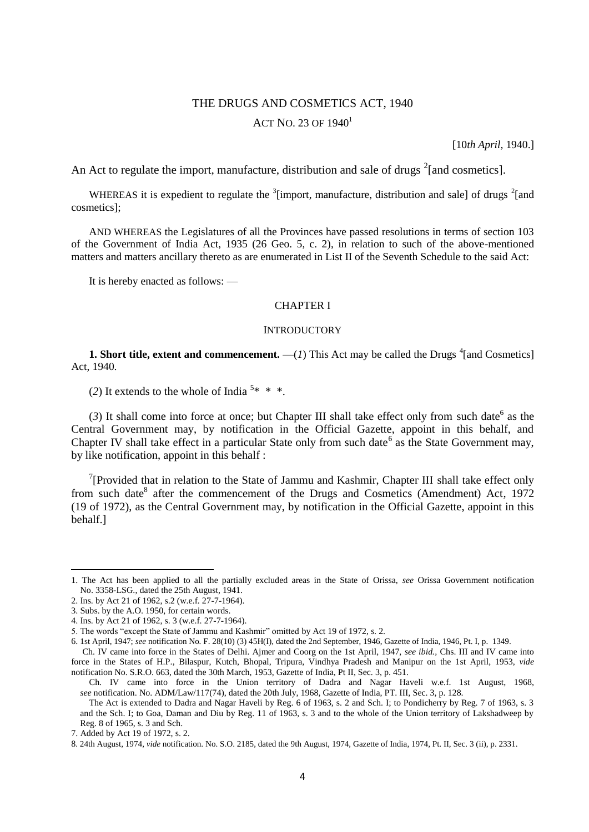# THE DRUGS AND COSMETICS ACT, 1940  $ACT NO. 23 OF 1940<sup>1</sup>$

[10*th April,* 1940.]

An Act to regulate the import, manufacture, distribution and sale of drugs  $2$ [and cosmetics].

WHEREAS it is expedient to regulate the  $3$ [import, manufacture, distribution and sale] of drugs  $3$ [and cosmetics];

AND WHEREAS the Legislatures of all the Provinces have passed resolutions in terms of section 103 of the Government of India Act, 1935 (26 Geo. 5, c. 2), in relation to such of the above-mentioned matters and matters ancillary thereto as are enumerated in List II of the Seventh Schedule to the said Act:

It is hereby enacted as follows: —

#### CHAPTER I

#### **INTRODUCTORY**

**1. Short title, extent and commencement.**  $-(1)$  This Act may be called the Drugs  $^{4}$ [and Cosmetics] Act, 1940.

(2) It extends to the whole of India<sup>5\*</sup> \* \*.

(3) It shall come into force at once; but Chapter III shall take effect only from such date<sup>6</sup> as the Central Government may, by notification in the Official Gazette, appoint in this behalf, and Chapter IV shall take effect in a particular State only from such date<sup>6</sup> as the State Government may, by like notification, appoint in this behalf :

<sup>7</sup>[Provided that in relation to the State of Jammu and Kashmir, Chapter III shall take effect only from such date<sup>8</sup> after the commencement of the Drugs and Cosmetics (Amendment) Act, 1972 (19 of 1972), as the Central Government may, by notification in the Official Gazette, appoint in this behalf.]

<sup>1.</sup> The Act has been applied to all the partially excluded areas in the State of Orissa, *see* Orissa Government notification No. 3358-LSG., dated the 25th August, 1941.

<sup>2.</sup> Ins. by Act 21 of 1962, s.2 (w.e.f. 27-7-1964).

<sup>3.</sup> Subs. by the A.O. 1950, for certain words.

<sup>4.</sup> Ins. by Act 21 of 1962, s. 3 (w.e.f. 27-7-1964).

<sup>5.</sup> The words "except the State of Jammu and Kashmir" omitted by Act 19 of 1972, s. 2.

<sup>6.</sup> 1st April, 1947; *see* notification No. F. 28(10) (3) 45H(I), dated the 2nd September, 1946, Gazette of India, 1946, Pt. I, p. 1349.

Ch. IV came into force in the States of Delhi. Ajmer and Coorg on the 1st April, 1947, *see ibid.,* Chs. III and IV came into force in the States of H.P., Bilaspur, Kutch, Bhopal, Tripura, Vindhya Pradesh and Manipur on the 1st April, 1953, *vide* notification No. S.R.O. 663, dated the 30th March, 1953, Gazette of India, Pt II, Sec. 3, p. 451.

Ch. IV came into force in the Union territory of Dadra and Nagar Haveli w.e.f. 1st August, 1968, *see* notification. No. ADM/Law/117(74), dated the 20th July, 1968, Gazette of India, PT. III, Sec. 3, p. 128.

The Act is extended to Dadra and Nagar Haveli by Reg. 6 of 1963, s. 2 and Sch. I; to Pondicherry by Reg. 7 of 1963, s. 3 and the Sch. I; to Goa, Daman and Diu by Reg. 11 of 1963, s. 3 and to the whole of the Union territory of Lakshadweep by Reg. 8 of 1965, s. 3 and Sch.

<sup>7.</sup> Added by Act 19 of 1972, s. 2.

<sup>8</sup>. 24th August, 1974, *vide* notification. No. S.O. 2185, dated the 9th August, 1974, Gazette of India, 1974, Pt. II, Sec. 3 (ii), p. 2331.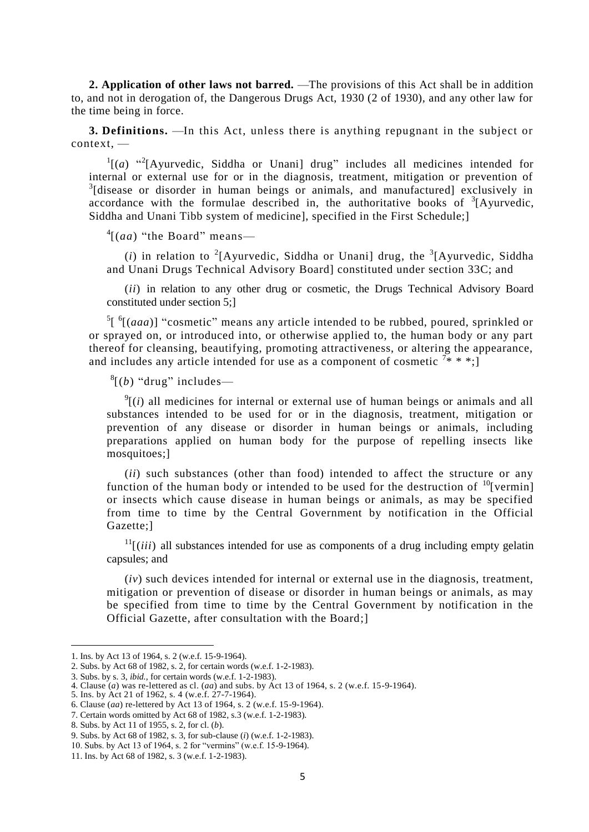**2. Application of other laws not barred.** —The provisions of this Act shall be in addition to, and not in derogation of, the Dangerous Drugs Act, 1930 (2 of 1930), and any other law for the time being in force.

**3. Definitions.** —In this Act, unless there is anything repugnant in the subject or context, —

 $\frac{1}{a}$   $\left( \frac{a}{a} \right)$   $\frac{a^2}{2a}$  [Ayurvedic, Siddha or Unani] drug" includes all medicines intended for internal or external use for or in the diagnosis, treatment, mitigation or prevention of <sup>3</sup>[disease or disorder in human beings or animals, and manufactured] exclusively in accordance with the formulae described in, the authoritative books of  $3$ [Ayurvedic, Siddha and Unani Tibb system of medicine], specified in the First Schedule;]

4 [(*aa*) "the Board" means—

(*i*) in relation to <sup>2</sup>[Ayurvedic, Siddha or Unani] drug, the <sup>3</sup>[Ayurvedic, Siddha and Unani Drugs Technical Advisory Board] constituted under section 33C; and

(*ii*) in relation to any other drug or cosmetic, the Drugs Technical Advisory Board constituted under section 5;]

 $\int$ <sup>5</sup>[ $\left($ (*aaa*)] "cosmetic" means any article intended to be rubbed, poured, sprinkled or or sprayed on, or introduced into, or otherwise applied to, the human body or any part thereof for cleansing, beautifying, promoting attractiveness, or altering the appearance, and includes any article intended for use as a component of cosmetic  $\frac{7}{4}$  \* \*;

 $^{8}$ [(*b*) "drug" includes—

 $\int_{0}^{9}$  (*i*) all medicines for internal or external use of human beings or animals and all substances intended to be used for or in the diagnosis, treatment, mitigation or prevention of any disease or disorder in human beings or animals, including preparations applied on human body for the purpose of repelling insects like mosquitoes;]

(*ii*) such substances (other than food) intended to affect the structure or any function of the human body or intended to be used for the destruction of  $^{10}$ [vermin] or insects which cause disease in human beings or animals, as may be specified from time to time by the Central Government by notification in the Official Gazette;]

 $11$ [(*iii*) all substances intended for use as components of a drug including empty gelatin capsules; and

(*iv*) such devices intended for internal or external use in the diagnosis, treatment, mitigation or prevention of disease or disorder in human beings or animals, as may be specified from time to time by the Central Government by notification in the Official Gazette, after consultation with the Board;]

<sup>1.</sup> Ins. by Act 13 of 1964, s. 2 (w.e.f. 15-9-1964).

<sup>2.</sup> Subs. by Act 68 of 1982, s. 2, for certain words (w.e.f. 1-2-1983).

<sup>3.</sup> Subs. by s. 3, *ibid.,* for certain words (w.e.f. 1-2-1983).

<sup>4.</sup> Clause (*a*) was re-lettered as cl. (*aa*) and subs. by Act 13 of 1964, s. 2 (w.e.f. 15-9-1964).

<sup>5.</sup> Ins. by Act 21 of 1962, s. 4 (w.e.f. 27-7-1964).

<sup>6.</sup> Clause (*aa*) re-lettered by Act 13 of 1964, s. 2 (w.e.f. 15-9-1964).

<sup>7.</sup> Certain words omitted by Act 68 of 1982, s.3 (w.e.f. 1-2-1983).

<sup>8.</sup> Subs. by Act 11 of 1955, s. 2, for cl. (*b*).

<sup>9.</sup> Subs. by Act 68 of 1982, s. 3, for sub-clause (*i*) (w.e.f. 1-2-1983).

<sup>10.</sup> Subs. by Act 13 of 1964, s. 2 for "vermins" (w.e.f. 15-9-1964).

<sup>11.</sup> Ins. by Act 68 of 1982, s. 3 (w.e.f. 1-2-1983).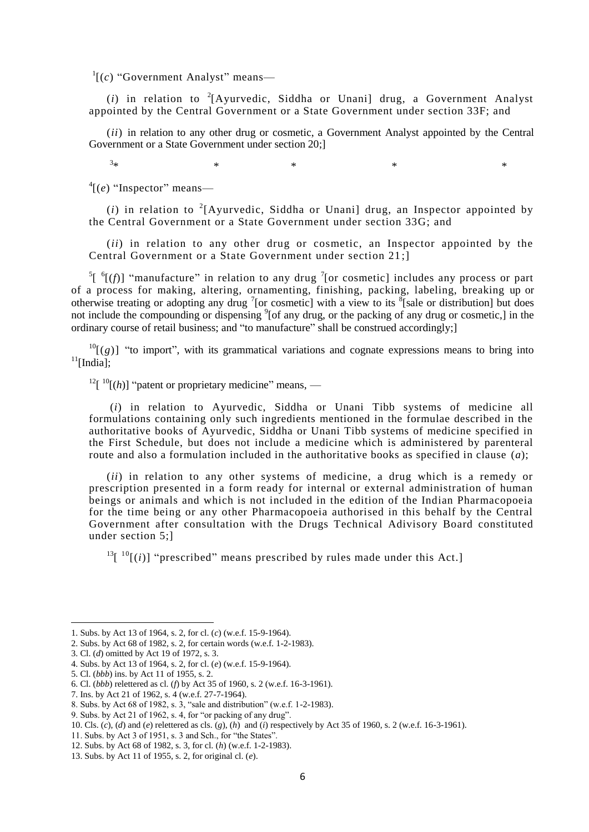$\Gamma$ [ $(c)$  "Government Analyst" means—

 $(i)$  in relation to <sup>2</sup>[Ayurvedic, Siddha or Unani] drug, a Government Analyst appointed by the Central Government or a State Government under section 33F; and

(*ii*) in relation to any other drug or cosmetic, a Government Analyst appointed by the Central Government or a State Government under section 20;]

 $3*$ 

 $*$  \*  $*$  \*  $*$  \*  $*$  \*

4 [(*e*) "Inspector" means—

 $(i)$  in relation to <sup>2</sup>[Ayurvedic, Siddha or Unani] drug, an Inspector appointed by the Central Government or a State Government under section 33G; and

(*ii*) in relation to any other drug or cosmetic, an Inspector appointed by the Central Government or a State Government under section 21 ;]

<sup>5</sup>[  $<sup>6</sup>$ [(*f*)] "manufacture" in relation to any drug <sup>7</sup>[or cosmetic] includes any process or part</sup> of a process for making, altering, ornamenting, finishing, packing, labeling, breaking up or otherwise treating or adopting any drug  $\frac{7}{1}$  [or cosmetic] with a view to its  $\frac{8}{1}$ [sale or distribution] but does not include the compounding or dispensing <sup>9</sup>[of any drug, or the packing of any drug or cosmetic,] in the ordinary course of retail business; and "to manufacture" shall be construed accordingly;]

 $^{10}[(g)]$  "to import", with its grammatical variations and cognate expressions means to bring into  $11$ [India];

<sup>12</sup>[ $\binom{10}{h}$ ] "patent or proprietary medicine" means, —

(*i*) in relation to Ayurvedic, Siddha or Unani Tibb systems of medicine all formulations containing only such ingredients mentioned in the formulae described in the authoritative books of Ayurvedic, Siddha or Unani Tibb systems of medicine specified in the First Schedule, but does not include a medicine which is administered by parenteral route and also a formulation included in the authoritative books as specified in clause (*a*);

(*ii*) in relation to any other systems of medicine, a drug which is a remedy or prescription presented in a form ready for internal or external administration of human beings or animals and which is not included in the edition of the Indian Pharmacopoeia for the time being or any other Pharmacopoeia authorised in this behalf by the Central Government after consultation with the Drugs Technical Adivisory Board constituted under section 5;]

 $13$ [ $10$ [(*i*)] "prescribed" means prescribed by rules made under this Act.]

<sup>1.</sup> Subs. by Act 13 of 1964, s. 2, for cl. (*c*) (w.e.f. 15-9-1964).

<sup>2.</sup> Subs. by Act 68 of 1982, s. 2, for certain words (w.e.f. 1-2-1983).

<sup>3.</sup> Cl. (*d*) omitted by Act 19 of 1972, s. 3.

<sup>4.</sup> Subs. by Act 13 of 1964, s. 2, for cl. (*e*) (w.e.f. 15-9-1964).

<sup>5.</sup> Cl. (*bbb*) ins. by Act 11 of 1955, s. 2.

<sup>6.</sup> Cl. (*bbb*) relettered as cl. (*f*) by Act 35 of 1960, s. 2 (w.e.f. 16-3-1961).

<sup>7.</sup> Ins. by Act 21 of 1962, s. 4 (w.e.f. 27-7-1964).

<sup>8.</sup> Subs. by Act 68 of 1982, s. 3, "sale and distribution" (w.e.f. 1-2-1983).

<sup>9.</sup> Subs. by Act 21 of 1962, s. 4, for "or packing of any drug".

<sup>10.</sup> Cls. (*c*), (*d*) and (*e*) relettered as cls. (*g*), (*h*) and (*i*) respectively by Act 35 of 1960, s. 2 (w.e.f. 16-3-1961).

<sup>11.</sup> Subs. by Act 3 of 1951, s. 3 and Sch., for "the States".

<sup>12.</sup> Subs. by Act 68 of 1982, s. 3, for cl. (*h*) (w.e.f. 1-2-1983).

<sup>13.</sup> Subs. by Act 11 of 1955, s. 2, for original cl. (*e*).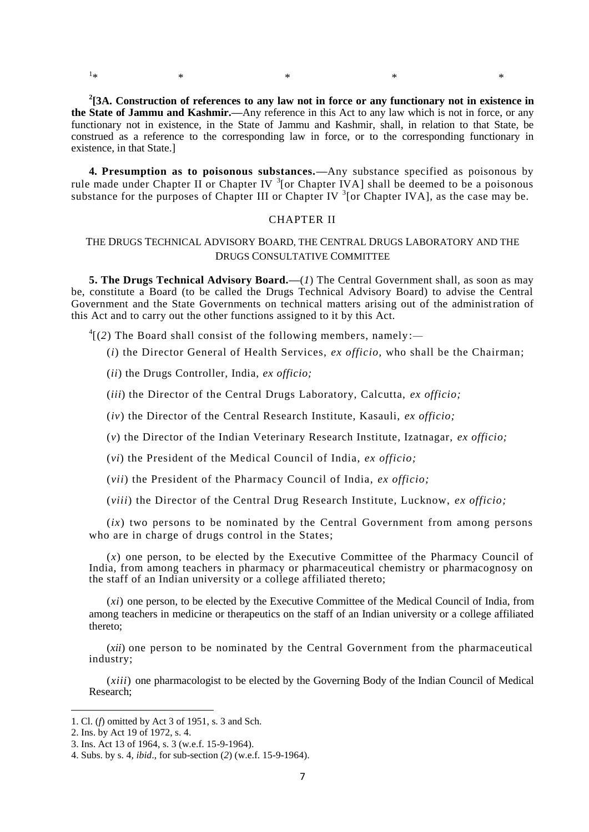$1_{\ast}$  $*$   $*$   $*$   $*$   $*$   $*$   $*$ 

**2 [3A. Construction of references to any law not in force or any functionary not in existence in the State of Jammu and Kashmir.—**Any reference in this Act to any law which is not in force, or any functionary not in existence, in the State of Jammu and Kashmir, shall, in relation to that State, be construed as a reference to the corresponding law in force, or to the corresponding functionary in existence, in that State.]

**4. Presumption as to poisonous substances.—**Any substance specified as poisonous by rule made under Chapter II or Chapter IV<sup>3</sup> [or Chapter IVA] shall be deemed to be a poisonous substance for the purposes of Chapter III or Chapter IV<sup>3</sup> [or Chapter IVA], as the case may be.

### CHAPTER II

## THE DRUGS TECHNICAL ADVISORY BOARD, THE CENTRAL DRUGS LABORATORY AND THE DRUGS CONSULTATIVE COMMITTEE

**5. The Drugs Technical Advisory Board.—**(*1*) The Central Government shall, as soon as may be, constitute a Board (to be called the Drugs Technical Advisory Board) to advise the Central Government and the State Governments on technical matters arising out of the administration of this Act and to carry out the other functions assigned to it by this Act.

4 [(*2*) The Board shall consist of the following members, namely:*—*

(*i*) the Director General of Health Services, *ex officio,* who shall be the Chairman;

(*ii*) the Drugs Controller, India, *ex officio;*

(*iii*) the Director of the Central Drugs Laboratory, Calcutta, *ex officio;*

(*iv*) the Director of the Central Research Institute, Kasauli, *ex officio;*

(*v*) the Director of the Indian Veterinary Research Institute, Izatnagar, *ex officio;*

(*vi*) the President of the Medical Council of India, *ex officio;* 

(*vii*) the President of the Pharmacy Council of India, *ex officio;*

(*viii*) the Director of the Central Drug Research Institute, Lucknow, *ex officio;*

(*ix*) two persons to be nominated by the Central Government from among persons who are in charge of drugs control in the States;

(*x*) one person, to be elected by the Executive Committee of the Pharmacy Council of India, from among teachers in pharmacy or pharmaceutical chemistry or pharmacognosy on the staff of an Indian university or a college affiliated thereto;

(*xi*) one person, to be elected by the Executive Committee of the Medical Council of India, from among teachers in medicine or therapeutics on the staff of an Indian university or a college affiliated thereto;

(*xii*) one person to be nominated by the Central Government from the pharmaceutical industry;

(*xiii*) one pharmacologist to be elected by the Governing Body of the Indian Council of Medical Research;

<sup>1.</sup> Cl. (*f*) omitted by Act 3 of 1951, s. 3 and Sch.

<sup>2.</sup> Ins. by Act 19 of 1972, s. 4.

<sup>3.</sup> Ins. Act 13 of 1964, s. 3 (w.e.f. 15-9-1964).

<sup>4.</sup> Subs. by s. 4, *ibid*., for sub-section (*2*) (w.e.f. 15-9-1964).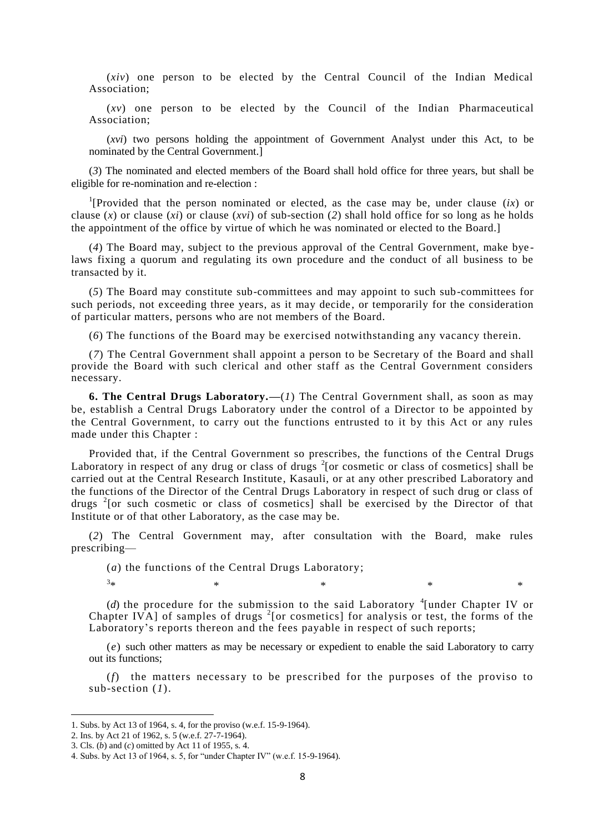(*xiv*) one person to be elected by the Central Council of the Indian Medical Association;

(*xv*) one person to be elected by the Council of the Indian Pharmaceutical Association;

(*xvi*) two persons holding the appointment of Government Analyst under this Act, to be nominated by the Central Government.]

(*3*) The nominated and elected members of the Board shall hold office for three years, but shall be eligible for re-nomination and re-election :

<sup>1</sup>[Provided that the person nominated or elected, as the case may be, under clause  $(ix)$  or clause (*x*) or clause (*xi*) or clause (*xvi*) of sub-section (*2*) shall hold office for so long as he holds the appointment of the office by virtue of which he was nominated or elected to the Board.]

(*4*) The Board may, subject to the previous approval of the Central Government, make bye laws fixing a quorum and regulating its own procedure and the conduct of all business to be transacted by it.

(*5*) The Board may constitute sub-committees and may appoint to such sub-committees for such periods, not exceeding three years, as it may decide , or temporarily for the consideration of particular matters, persons who are not members of the Board.

(*6*) The functions of the Board may be exercised notwithstanding any vacancy therein.

(*7*) The Central Government shall appoint a person to be Secretary of the Board and shall provide the Board with such clerical and other staff as the Central Government considers necessary.

**6. The Central Drugs Laboratory.—**(*1*) The Central Government shall, as soon as may be, establish a Central Drugs Laboratory under the control of a Director to be appointed by the Central Government, to carry out the functions entrusted to it by this Act or any rules made under this Chapter :

Provided that, if the Central Government so prescribes, the functions of the Central Drugs Laboratory in respect of any drug or class of drugs  $2$ [or cosmetic or class of cosmetics] shall be carried out at the Central Research Institute, Kasauli, or at any other prescribed Laboratory and the functions of the Director of the Central Drugs Laboratory in respect of such drug or class of drugs  $2$ [or such cosmetic or class of cosmetics] shall be exercised by the Director of that Institute or of that other Laboratory, as the case may be.

(*2*) The Central Government may, after consultation with the Board, make rules prescribing—

(*a*) the functions of the Central Drugs Laboratory;

 $3*$  $*$  \*  $*$  \*  $*$  \*  $*$  \*

**.** 

(*d*) the procedure for the submission to the said Laboratory  $\frac{4}{1}$  under Chapter IV or Chapter IVA] of samples of drugs  $2$ [or cosmetics] for analysis or test, the forms of the Laboratory's reports thereon and the fees payable in respect of such reports;

(*e*) such other matters as may be necessary or expedient to enable the said Laboratory to carry out its functions;

(*f*) the matters necessary to be prescribed for the purposes of the proviso to sub-section (*1*).

<sup>1.</sup> Subs. by Act 13 of 1964, s. 4, for the proviso (w.e.f. 15-9-1964).

<sup>2.</sup> Ins. by Act 21 of 1962, s. 5 (w.e.f. 27-7-1964).

<sup>3.</sup> Cls. (*b*) and (*c*) omitted by Act 11 of 1955, s. 4.

<sup>4.</sup> Subs. by Act 13 of 1964, s. 5, for "under Chapter IV" (w.e.f. 15-9-1964).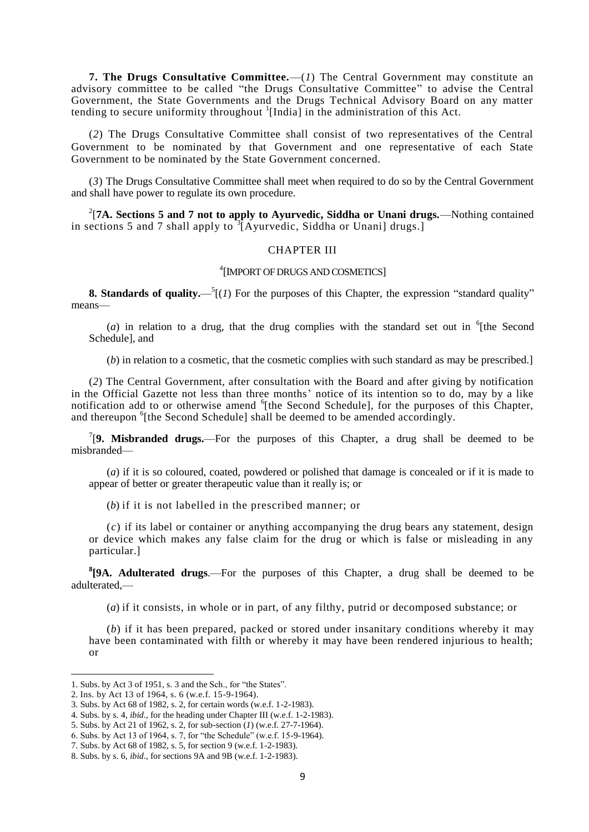**7. The Drugs Consultative Committee.**—(1) The Central Government may constitute an advisory committee to be called "the Drugs Consultative Committee" to advise the Central Government, the State Governments and the Drugs Technical Advisory Board on any matter tending to secure uniformity throughout  $\frac{1}{1}$ [India] in the administration of this Act.

(*2*) The Drugs Consultative Committee shall consist of two representatives of the Central Government to be nominated by that Government and one representative of each State Government to be nominated by the State Government concerned.

(*3*) The Drugs Consultative Committee shall meet when required to do so by the Central Government and shall have power to regulate its own procedure.

2 [**7A. Sections 5 and 7 not to apply to Ayurvedic, Siddha or Unani drugs.**—Nothing contained in sections 5 and 7 shall apply to  $3$ [Ayurvedic, Siddha or Unani] drugs.]

#### CHAPTER III

# 4 [IMPORT OF DRUGS AND COSMETICS]

**8. Standards of quality.**— $^{5}$ [(*1*) For the purposes of this Chapter, the expression "standard quality" means—

(*a*) in relation to a drug, that the drug complies with the standard set out in  ${}^{6}$ [the Second Schedule], and

(*b*) in relation to a cosmetic, that the cosmetic complies with such standard as may be prescribed.]

(*2*) The Central Government, after consultation with the Board and after giving by notification in the Official Gazette not less than three months' notice of its intention so to do, may by a like notification add to or otherwise amend <sup>6</sup>[the Second Schedule], for the purposes of this Chapter, and thereupon <sup>6</sup>[the Second Schedule] shall be deemed to be amended accordingly.

<sup>7</sup>[9. Misbranded drugs.—For the purposes of this Chapter, a drug shall be deemed to be misbranded—

(*a*) if it is so coloured, coated, powdered or polished that damage is concealed or if it is made to appear of better or greater therapeutic value than it really is; or

(*b*) if it is not labelled in the prescribed manner; or

(*c*) if its label or container or anything accompanying the drug bears any statement, design or device which makes any false claim for the drug or which is false or misleading in any particular.]

**8 [9A. Adulterated drugs**.—For the purposes of this Chapter, a drug shall be deemed to be adulterated,—

(*a*) if it consists, in whole or in part, of any filthy, putrid or decomposed substance; or

(*b*) if it has been prepared, packed or stored under insanitary conditions whereby it may have been contaminated with filth or whereby it may have been rendered injurious to health; or

<sup>1.</sup> Subs. by Act 3 of 1951, s. 3 and the Sch., for "the States".

<sup>2.</sup> Ins. by Act 13 of 1964, s. 6 (w.e.f. 15-9-1964).

<sup>3.</sup> Subs. by Act 68 of 1982, s. 2, for certain words (w.e.f. 1-2-1983).

<sup>4.</sup> Subs. by s. 4, *ibid*., for the heading under Chapter III (w.e.f. 1-2-1983).

<sup>5.</sup> Subs. by Act 21 of 1962, s. 2, for sub-section (*1*) (w.e.f. 27-7-1964).

<sup>6.</sup> Subs. by Act 13 of 1964, s. 7, for "the Schedule" (w.e.f. 15-9-1964).

<sup>7.</sup> Subs. by Act 68 of 1982, s. 5, for section 9 (w.e.f. 1-2-1983).

<sup>8.</sup> Subs. by s. 6, *ibid*., for sections 9A and 9B (w.e.f. 1-2-1983).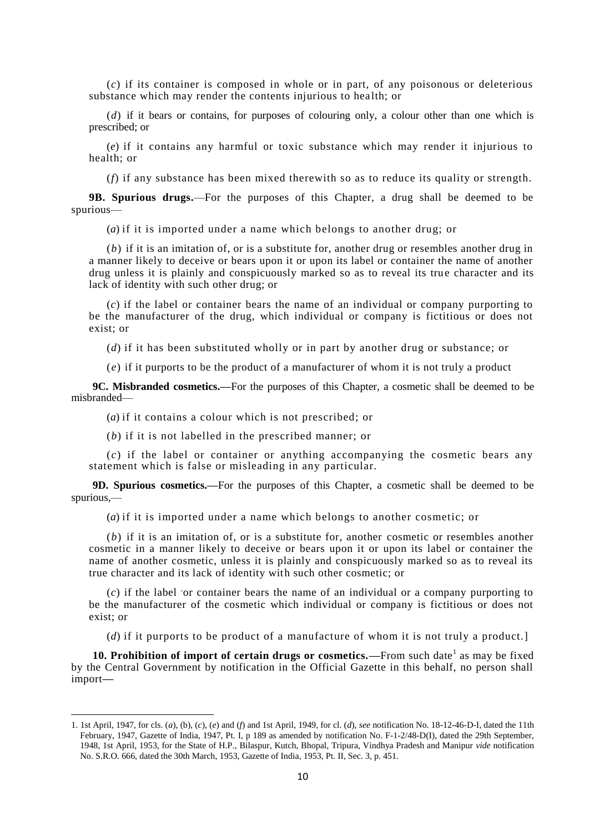(*c*) if its container is composed in whole or in part, of any poisonous or deleterious substance which may render the contents injurious to health; or

(*d*) if it bears or contains, for purposes of colouring only, a colour other than one which is prescribed; or

(*e*) if it contains any harmful or toxic substance which may render it injurious to health; or

(*f*) if any substance has been mixed therewith so as to reduce its quality or strength.

**9B. Spurious drugs.**—For the purposes of this Chapter, a drug shall be deemed to be spurious—

(*a*) if it is imported under a name which belongs to another drug; or

(*b*) if it is an imitation of, or is a substitute for, another drug or resembles another drug in a manner likely to deceive or bears upon it or upon its label or container the name of another drug unless it is plainly and conspicuously marked so as to reveal its true character and its lack of identity with such other drug; or

(*c*) if the label or container bears the name of an individual or company purporting to be the manufacturer of the drug, which individual or company is fictitious or does not exist; or

(*d*) if it has been substituted wholly or in part by another drug or substance; or

(*e*) if it purports to be the product of a manufacturer of whom it is not truly a product

**9C. Misbranded cosmetics.—**For the purposes of this Chapter, a cosmetic shall be deemed to be misbranded—

(*a*) if it contains a colour which is not prescribed; or

(*b*) if it is not labelled in the prescribed manner; or

**.** 

(*c*) if the label or container or anything accompanying the cosmetic bears any statement which is false or misleading in any particular.

**9D. Spurious cosmetics.—**For the purposes of this Chapter, a cosmetic shall be deemed to be spurious,—

(*a*) if it is imported under a name which belongs to another cosmetic; or

(*b*) if it is an imitation of, or is a substitute for, another cosmetic or resembles another cosmetic in a manner likely to deceive or bears upon it or upon its label or container the name of another cosmetic, unless it is plainly and conspicuously marked so as to reveal its true character and its lack of identity with such other cosmetic; or

 $(c)$  if the label 'or container bears the name of an individual or a company purporting to be the manufacturer of the cosmetic which individual or company is fictitious or does not exist; or

(*d*) if it purports to be product of a manufacture of whom it is not truly a product.]

**10. Prohibition of import of certain drugs or cosmetics.—From such date<sup>1</sup> as may be fixed** by the Central Government by notification in the Official Gazette in this behalf, no person shall import**—**

<sup>1. 1</sup>st April, 1947, for cls. (*a*), (b), (*c*), (*e*) and (*f*) and 1st April, 1949, for cl. (*d*), *see* notification No. 18-12-46-D-I, dated the 11th February, 1947, Gazette of India, 1947, Pt. I, p 189 as amended by notification No. F-1-2/48-D(I), dated the 29th September, 1948, 1st April, 1953, for the State of H.P., Bilaspur, Kutch, Bhopal, Tripura, Vindhya Pradesh and Manipur *vide* notification No. S.R.O. 666, dated the 30th March, 1953, Gazette of India, 1953, Pt. II, Sec. 3, p. 451.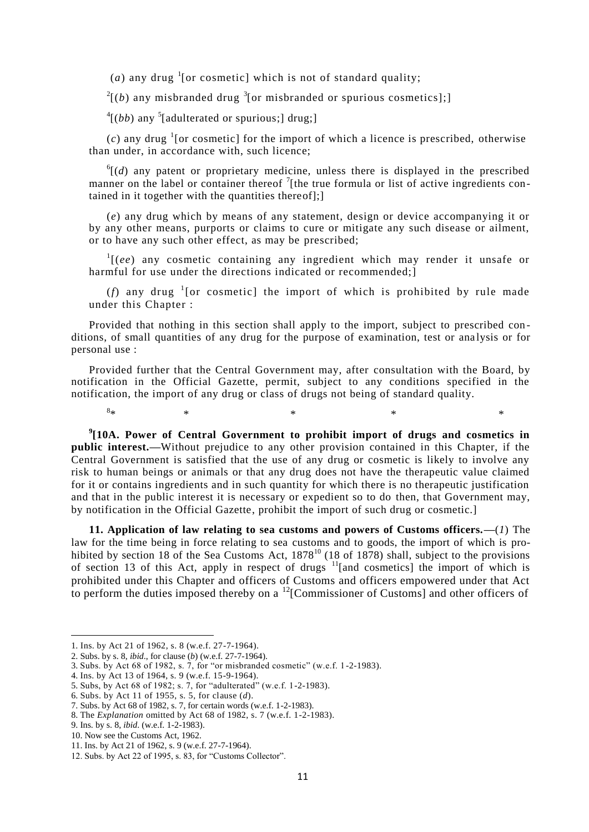(*a*) any drug  $\frac{1}{2}$  [or cosmetic] which is not of standard quality;

 $^{2}$ [(*b*) any misbranded drug <sup>3</sup>[or misbranded or spurious cosmetics];]

 $^{4}$ [(*bb*) any <sup>5</sup>[adulterated or spurious;] drug;]

 $(c)$  any drug <sup>1</sup> [or cosmetic] for the import of which a licence is prescribed, otherwise than under, in accordance with, such licence;

 $^{6}$ [(*d*) any patent or proprietary medicine, unless there is displayed in the prescribed manner on the label or container thereof <sup>7</sup>[the true formula or list of active ingredients contained in it together with the quantities thereof];]

(*e*) any drug which by means of any statement, design or device accompanying it or by any other means, purports or claims to cure or mitigate any such disease or ailment, or to have any such other effect, as may be prescribed;

<sup>1</sup>[(*ee*) any cosmetic containing any ingredient which may render it unsafe or harmful for use under the directions indicated or recommended;

(*f*) any drug <sup>1</sup> [or cosmetic] the import of which is prohibited by rule made under this Chapter :

Provided that nothing in this section shall apply to the import, subject to prescribed con ditions, of small quantities of any drug for the purpose of examination, test or ana lysis or for personal use :

Provided further that the Central Government may, after consultation with the Board, by notification in the Official Gazette, permit, subject to any conditions specified in the notification, the import of any drug or class of drugs not being of standard quality.

 $8*$  $*$  \*  $*$  \*  $*$  \*  $*$  \*

**9 [10A. Power of Central Government to prohibit import of drugs and cosmetics in public interest.—**Without prejudice to any other provision contained in this Chapter, if the Central Government is satisfied that the use of any drug or cosmetic is likely to involve any risk to human beings or animals or that any drug does not have the therapeutic value claimed for it or contains ingredients and in such quantity for which there is no therapeutic justification and that in the public interest it is necessary or expedient so to do then, that Government may, by notification in the Official Gazette, prohibit the import of such drug or cosmetic.]

**11. Application of law relating to sea customs and powers of Customs officers.—**(*1*) The law for the time being in force relating to sea customs and to goods, the import of which is prohibited by section 18 of the Sea Customs Act,  $1878^{10}$  (18 of 1878) shall, subject to the provisions of section 13 of this Act, apply in respect of drugs  $11$ [and cosmetics] the import of which is prohibited under this Chapter and officers of Customs and officers empowered under that Act to perform the duties imposed thereby on a  $^{12}$ [Commissioner of Customs] and other officers of

<sup>1.</sup> Ins. by Act 21 of 1962, s. 8 (w.e.f. 27-7-1964).

<sup>2.</sup> Subs. by s. 8, *ibid*., for clause (*b*) (w.e.f. 27-7-1964).

<sup>3.</sup> Subs. by Act 68 of 1982, s. 7, for "or misbranded cosmetic" (w.e.f. 1-2-1983).

<sup>4.</sup> Ins. by Act 13 of 1964, s. 9 (w.e.f. 15-9-1964).

<sup>5.</sup> Subs, by Act 68 of 1982; s. 7, for "adulterated" (w.e.f. 1-2-1983).

<sup>6.</sup> Subs. by Act 11 of 1955, s. 5, for clause (*d*).

<sup>7.</sup> Subs. by Act 68 of 1982, s. 7, for certain words (w.e.f. 1-2-1983).

<sup>8.</sup> The *Explanation* omitted by Act 68 of 1982, s. 7 (w.e.f. 1-2-1983).

<sup>9.</sup> Ins. by s. 8, *ibid*. (w.e.f. 1-2-1983).

<sup>10.</sup> Now see the Customs Act, 1962.

<sup>11.</sup> Ins. by Act 21 of 1962, s. 9 (w.e.f. 27-7-1964).

<sup>12.</sup> Subs. by Act 22 of 1995, s. 83, for "Customs Collector".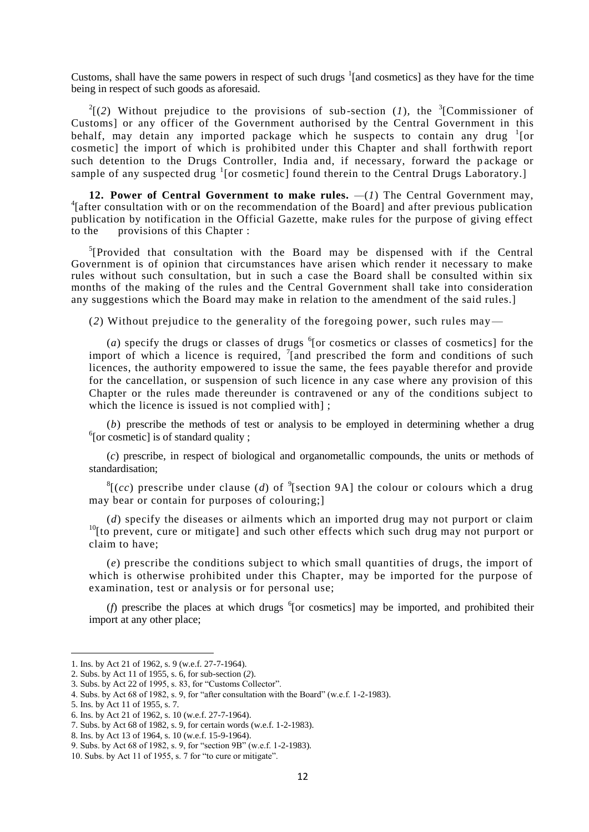Customs, shall have the same powers in respect of such drugs  $\frac{1}{2}$  [and cosmetics] as they have for the time being in respect of such goods as aforesaid.

<sup>2</sup>[(2) Without prejudice to the provisions of sub-section (*1*), the <sup>3</sup>[Commissioner of Customs] or any officer of the Government authorised by the Central Government in this behalf, may detain any imported package which he suspects to contain any drug  $1$ [or cosmetic] the import of which is prohibited under this Chapter and shall forthwith report such detention to the Drugs Controller, India and, if necessary, forward the package or sample of any suspected drug  $1$  [or cosmetic] found therein to the Central Drugs Laboratory.]

**12. Power of Central Government to make rules.** *—*(*1*) The Central Government may, <sup>4</sup> [after consultation with or on the recommendation of the Board] and after previous publication publication by notification in the Official Gazette, make rules for the purpose of giving effect to the provisions of this Chapter :

<sup>5</sup>[Provided that consultation with the Board may be dispensed with if the Central Government is of opinion that circumstances have arisen which render it necessary to make rules without such consultation, but in such a case the Board shall be consulted within six months of the making of the rules and the Central Government shall take into consideration any suggestions which the Board may make in relation to the amendment of the said rules.]

(*2*) Without prejudice to the generality of the foregoing power, such rules may—

(*a*) specify the drugs or classes of drugs  ${}^{6}$  [or cosmetics or classes of cosmetics] for the import of which a licence is required,  $\frac{7}{2}$  and prescribed the form and conditions of such licences, the authority empowered to issue the same, the fees payable therefor and provide for the cancellation, or suspension of such licence in any case where any provision of this Chapter or the rules made thereunder is contravened or any of the conditions subject to which the licence is issued is not complied with];

(*b*) prescribe the methods of test or analysis to be employed in determining whether a drug 6 [or cosmetic] is of standard quality ;

(*c*) prescribe, in respect of biological and organometallic compounds, the units or methods of standardisation;

 $^{8}$ [(*cc*) prescribe under clause (*d*) of <sup>9</sup>[section 9A] the colour or colours which a drug may bear or contain for purposes of colouring;]

(*d*) specify the diseases or ailments which an imported drug may not purport or claim  $10$ [to prevent, cure or mitigate] and such other effects which such drug may not purport or claim to have;

(*e*) prescribe the conditions subject to which small quantities of drugs, the import of which is otherwise prohibited under this Chapter, may be imported for the purpose of examination, test or analysis or for personal use;

( $f$ ) prescribe the places at which drugs <sup>6</sup>[or cosmetics] may be imported, and prohibited their import at any other place;

5. Ins. by Act 11 of 1955, s. 7.

<sup>1.</sup> Ins. by Act 21 of 1962, s. 9 (w.e.f. 27-7-1964).

<sup>2.</sup> Subs. by Act 11 of 1955, s. 6, for sub-section (*2*).

<sup>3.</sup> Subs. by Act 22 of 1995, s. 83, for "Customs Collector".

<sup>4.</sup> Subs. by Act 68 of 1982, s. 9, for "after consultation with the Board" (w.e.f. 1-2-1983).

<sup>6.</sup> Ins. by Act 21 of 1962, s. 10 (w.e.f. 27-7-1964).

<sup>7.</sup> Subs. by Act 68 of 1982, s. 9, for certain words (w.e.f. 1-2-1983).

<sup>8.</sup> Ins. by Act 13 of 1964, s. 10 (w.e.f. 15-9-1964).

<sup>9.</sup> Subs. by Act 68 of 1982, s. 9, for "section 9B" (w.e.f. 1-2-1983).

<sup>10.</sup> Subs. by Act 11 of 1955, s. 7 for "to cure or mitigate".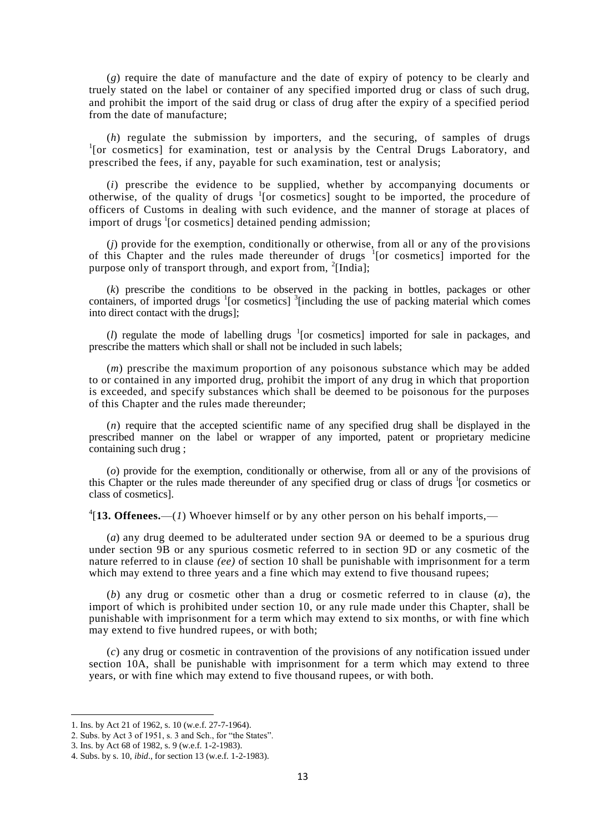(*g*) require the date of manufacture and the date of expiry of potency to be clearly and truely stated on the label or container of any specified imported drug or class of such drug, and prohibit the import of the said drug or class of drug after the expiry of a specified period from the date of manufacture;

(*h*) regulate the submission by importers, and the securing, of samples of drugs <sup>1</sup>[or cosmetics] for examination, test or analysis by the Central Drugs Laboratory, and prescribed the fees, if any, payable for such examination, test or analysis;

(*i*) prescribe the evidence to be supplied, whether by accompanying documents or otherwise, of the quality of drugs  $1$  [or cosmetics] sought to be imported, the procedure of officers of Customs in dealing with such evidence, and the manner of storage at places of import of drugs <sup>1</sup>[or cosmetics] detained pending admission;

(*j*) provide for the exemption, conditionally or otherwise, from all or any of the provisions of this Chapter and the rules made thereunder of drugs <sup>1</sup>[or cosmetics] imported for the purpose only of transport through, and export from,  $^{2}$ [India];

(*k*) prescribe the conditions to be observed in the packing in bottles, packages or other containers, of imported drugs  $1$  [or cosmetics]  $3$ [including the use of packing material which comes into direct contact with the drugs];

 $(l)$  regulate the mode of labelling drugs  $l$  [or cosmetics] imported for sale in packages, and prescribe the matters which shall or shall not be included in such labels;

(*m*) prescribe the maximum proportion of any poisonous substance which may be added to or contained in any imported drug, prohibit the import of any drug in which that proportion is exceeded, and specify substances which shall be deemed to be poisonous for the purposes of this Chapter and the rules made thereunder;

(*n*) require that the accepted scientific name of any specified drug shall be displayed in the prescribed manner on the label or wrapper of any imported, patent or proprietary medicine containing such drug ;

(*o*) provide for the exemption, conditionally or otherwise, from all or any of the provisions of this Chapter or the rules made thereunder of any specified drug or class of drugs <sup>1</sup>[or cosmetics or class of cosmetics].

 $^{4}$ [13. Offenees.—(*1*) Whoever himself or by any other person on his behalf imports,—

(*a*) any drug deemed to be adulterated under section 9A or deemed to be a spurious drug under section 9B or any spurious cosmetic referred to in section 9D or any cosmetic of the nature referred to in clause *(ee)* of section 10 shall be punishable with imprisonment for a term which may extend to three years and a fine which may extend to five thousand rupees;

(*b*) any drug or cosmetic other than a drug or cosmetic referred to in clause (*a*)*,* the import of which is prohibited under section 10, or any rule made under this Chapter, shall be punishable with imprisonment for a term which may extend to six months, or with fine which may extend to five hundred rupees, or with both;

(*c*) any drug or cosmetic in contravention of the provisions of any notification issued under section 10A, shall be punishable with imprisonment for a term which may extend to three years, or with fine which may extend to five thousand rupees, or with both.

<sup>1.</sup> Ins. by Act 21 of 1962, s. 10 (w.e.f. 27-7-1964).

<sup>2.</sup> Subs. by Act 3 of 1951, s. 3 and Sch., for "the States".

<sup>3.</sup> Ins. by Act 68 of 1982, s. 9 (w.e.f. 1-2-1983).

<sup>4.</sup> Subs. by s. 10, *ibid*., for section 13 (w.e.f. 1-2-1983).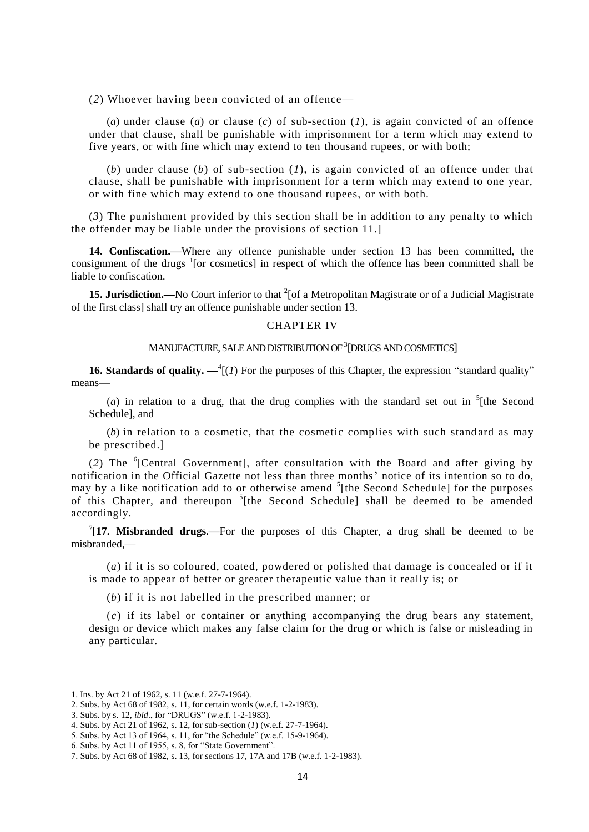(*2*) Whoever having been convicted of an offence—

(*a*) under clause (*a*) or clause (*c*) of sub-section (*1*), is again convicted of an offence under that clause, shall be punishable with imprisonment for a term which may extend to five years, or with fine which may extend to ten thousand rupees, or with both;

(*b*) under clause (*b*) of sub-section (*1*), is again convicted of an offence under that clause, shall be punishable with imprisonment for a term which may extend to one year, or with fine which may extend to one thousand rupees, or with both.

(*3*) The punishment provided by this section shall be in addition to any penalty to which the offender may be liable under the provisions of section 11.]

**14. Confiscation.—**Where any offence punishable under section 13 has been committed, the consignment of the drugs  $1$ [or cosmetics] in respect of which the offence has been committed shall be liable to confiscation.

15. Jurisdiction.—No Court inferior to that <sup>2</sup>[of a Metropolitan Magistrate or of a Judicial Magistrate of the first class] shall try an offence punishable under section 13.

#### CHAPTER IV

# MANUFACTURE, SALE AND DISTRIBUTION OF <sup>3</sup>[DRUGS AND COSMETICS]

**16. Standards of quality.**  $-\binom{4}{l}$  **For the purposes of this Chapter, the expression "standard quality"** means—

(*a*) in relation to a drug, that the drug complies with the standard set out in  ${}^{5}$ [the Second Schedule], and

(*b*) in relation to a cosmetic, that the cosmetic complies with such stand ard as may be prescribed.]

(2) The <sup>6</sup>[Central Government], after consultation with the Board and after giving by notification in the Official Gazette not less than three months' notice of its intention so to do, may by a like notification add to or otherwise amend  ${}^{5}$ [the Second Schedule] for the purposes of this Chapter, and thereupon <sup>5</sup>[the Second Schedule] shall be deemed to be amended accordingly.

<sup>7</sup>[17. Misbranded drugs.—For the purposes of this Chapter, a drug shall be deemed to be misbranded,—

(*a*) if it is so coloured, coated, powdered or polished that damage is concealed or if it is made to appear of better or greater therapeutic value than it really is; or

(*b*) if it is not labelled in the prescribed manner; or

(*c*) if its label or container or anything accompanying the drug bears any statement, design or device which makes any false claim for the drug or which is false or misleading in any particular.

<sup>1.</sup> Ins. by Act 21 of 1962, s. 11 (w.e.f. 27-7-1964).

<sup>2.</sup> Subs. by Act 68 of 1982, s. 11, for certain words (w.e.f. 1-2-1983).

<sup>3.</sup> Subs. by s. 12, *ibid*., for "DRUGS" (w.e.f. 1-2-1983).

<sup>4.</sup> Subs. by Act 21 of 1962, s. 12, for sub-section (*1*) (w.e.f. 27-7-1964).

<sup>5.</sup> Subs. by Act 13 of 1964, s. 11, for "the Schedule" (w.e.f. 15-9-1964).

<sup>6.</sup> Subs. by Act 11 of 1955, s. 8, for "State Government".

<sup>7.</sup> Subs. by Act 68 of 1982, s. 13, for sections 17, 17A and 17B (w.e.f. 1-2-1983).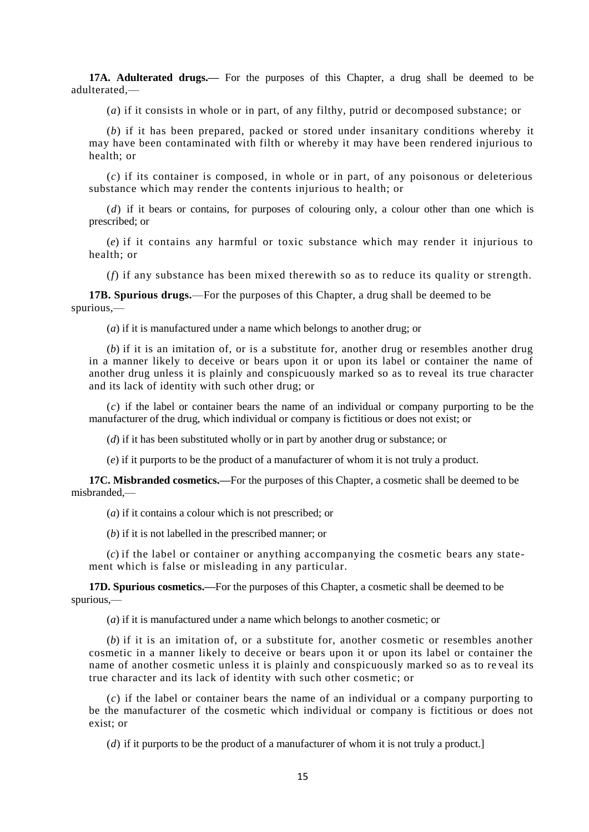**17A. Adulterated drugs.—** For the purposes of this Chapter, a drug shall be deemed to be adulterated,—

(*a*) if it consists in whole or in part, of any filthy, putrid or decomposed substance; or

(*b*) if it has been prepared, packed or stored under insanitary conditions whereby it may have been contaminated with filth or whereby it may have been rendered injurious to health; or

(*c*) if its container is composed, in whole or in part, of any poisonous or deleterious substance which may render the contents injurious to health; or

(*d*) if it bears or contains, for purposes of colouring only, a colour other than one which is prescribed; or

(*e*) if it contains any harmful or toxic substance which may render it injurious to health; or

(*f*) if any substance has been mixed therewith so as to reduce its quality or strength.

**17B. Spurious drugs.**—For the purposes of this Chapter, a drug shall be deemed to be spurious,—

(*a*) if it is manufactured under a name which belongs to another drug; or

(*b*) if it is an imitation of, or is a substitute for, another drug or resembles another drug in a manner likely to deceive or bears upon it or upon its label or container the name of another drug unless it is plainly and conspicuously marked so as to reveal its true character and its lack of identity with such other drug; or

(*c*) if the label or container bears the name of an individual or company purporting to be the manufacturer of the drug, which individual or company is fictitious or does not exist; or

(*d*) if it has been substituted wholly or in part by another drug or substance; or

(*e*) if it purports to be the product of a manufacturer of whom it is not truly a product.

**17C. Misbranded cosmetics.—**For the purposes of this Chapter, a cosmetic shall be deemed to be misbranded,—

(*a*) if it contains a colour which is not prescribed; or

(*b*) if it is not labelled in the prescribed manner; or

(*c*) if the label or container or anything accompanying the cosmetic bears any statement which is false or misleading in any particular.

**17D. Spurious cosmetics.—**For the purposes of this Chapter, a cosmetic shall be deemed to be spurious,—

(*a*) if it is manufactured under a name which belongs to another cosmetic; or

(*b*) if it is an imitation of, or a substitute for, another cosmetic or resembles another cosmetic in a manner likely to deceive or bears upon it or upon its label or container the name of another cosmetic unless it is plainly and conspicuously marked so as to re veal its true character and its lack of identity with such other cosmetic; or

(*c*) if the label or container bears the name of an individual or a company purporting to be the manufacturer of the cosmetic which individual or company is fictitious or does not exist; or

(*d*) if it purports to be the product of a manufacturer of whom it is not truly a product.]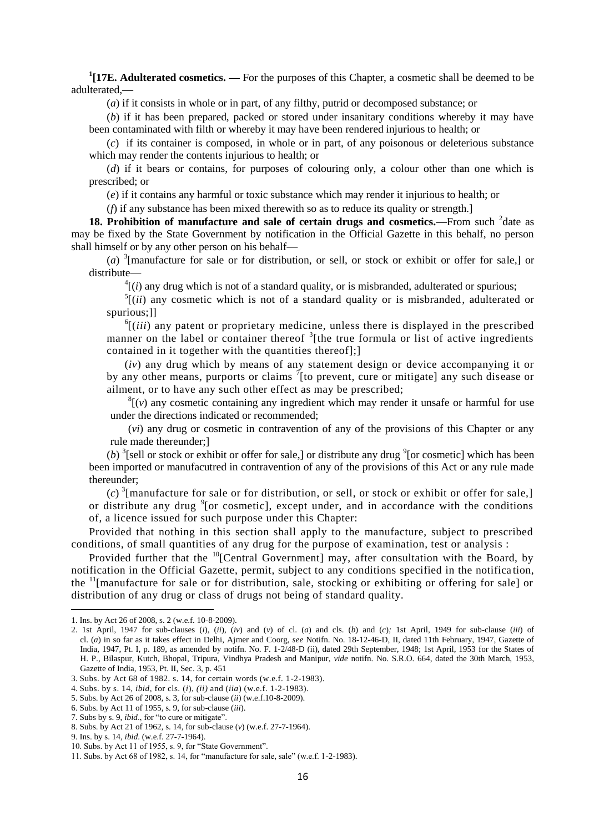<sup>1</sup>[17E. Adulterated cosmetics. — For the purposes of this Chapter, a cosmetic shall be deemed to be adulterated,**—**

(*a*) if it consists in whole or in part, of any filthy, putrid or decomposed substance; or

(*b*) if it has been prepared, packed or stored under insanitary conditions whereby it may have been contaminated with filth or whereby it may have been rendered injurious to health; or

(*c*) if its container is composed, in whole or in part, of any poisonous or deleterious substance which may render the contents injurious to health; or

(*d*) if it bears or contains, for purposes of colouring only, a colour other than one which is prescribed; or

(*e*) if it contains any harmful or toxic substance which may render it injurious to health; or

(*f*) if any substance has been mixed therewith so as to reduce its quality or strength.]

18. Prohibition of manufacture and sale of certain drugs and cosmetics.—From such <sup>2</sup>date as may be fixed by the State Government by notification in the Official Gazette in this behalf, no person shall himself or by any other person on his behalf—

(*a*) <sup>3</sup>[manufacture for sale or for distribution, or sell, or stock or exhibit or offer for sale,] or distribute—

 $\mathrm{^{4}}$ [(*i*) any drug which is not of a standard quality, or is misbranded, adulterated or spurious;

 $<sup>5</sup>$ [(*ii*) any cosmetic which is not of a standard quality or is misbranded, adulterated or</sup> spurious;]]

 $\delta$ [(*iii*) any patent or proprietary medicine, unless there is displayed in the prescribed manner on the label or container thereof  $3$ [the true formula or list of active ingredients contained in it together with the quantities thereof];]

(*iv*) any drug which by means of any statement design or device accompanying it or by any other means, purports or claims  $\left($  [to prevent, cure or mitigate] any such disease or ailment, or to have any such other effect as may be prescribed;

 $^8$ [ $(v)$  any cosmetic containing any ingredient which may render it unsafe or harmful for use under the directions indicated or recommended;

(*vi*) any drug or cosmetic in contravention of any of the provisions of this Chapter or any rule made thereunder;]

(b)  $\frac{3}{5}$ [sell or stock or exhibit or offer for sale,] or distribute any drug  $\frac{9}{5}$ [or cosmetic] which has been been imported or manufacutred in contravention of any of the provisions of this Act or any rule made thereunder;

 $(c)$ <sup>3</sup>[manufacture for sale or for distribution, or sell, or stock or exhibit or offer for sale,] or distribute any drug  $^{9}$  [or cosmetic], except under, and in accordance with the conditions of, a licence issued for such purpose under this Chapter:

Provided that nothing in this section shall apply to the manufacture, subject to prescribed conditions, of small quantities of any drug for the purpose of examination, test or analysis :

Provided further that the  $^{10}$ [Central Government] may, after consultation with the Board, by notification in the Official Gazette, permit, subject to any conditions specified in the notifica tion, the <sup>11</sup>[manufacture for sale or for distribution, sale, stocking or exhibiting or offering for sale] or distribution of any drug or class of drugs not being of standard quality.

1

9. Ins. by s. 14, *ibid*. (w.e.f. 27-7-1964).

<sup>1.</sup> Ins. by Act 26 of 2008, s. 2 (w.e.f. 10-8-2009).

<sup>2. 1</sup>st April, 1947 for sub-clauses (*i*), (*ii*), (*iv*) and (*v*) of cl. (*a*) and cls. (*b*) and (*c*); 1st April, 1949 for sub-clause (*iii*) of cl. (*a*) in so far as it takes effect in Delhi, Ajmer and Coorg, *see* Notifn. No. 18-12-46-D, II, dated 11th February, 1947, Gazette of India, 1947, Pt. I, p. 189, as amended by notifn. No. F. 1-2/48-D (ii), dated 29th September, 1948; 1st April, 1953 for the States of H. P., Bilaspur, Kutch, Bhopal, Tripura, Vindhya Pradesh and Manipur, *vide* notifn. No. S.R.O. 664, dated the 30th March, 1953, Gazette of India, 1953, Pt. II, Sec. 3, p. 451

<sup>3.</sup> Subs. by Act 68 of 1982. s. 14, for certain words (w.e.f. 1-2-1983).

<sup>4.</sup> Subs. by s. 14, *ibid,* for cls. (*i*)*, (ii)* and (*iia*) (w.e.f. 1-2-1983).

<sup>5.</sup> Subs. by Act 26 of 2008, s. 3, for sub-clause (*ii*) (w.e.f.10-8-2009).

<sup>6.</sup> Subs. by Act 11 of 1955, s. 9, for sub-clause (*iii*).

<sup>7.</sup> Subs by s. 9, *ibid*., for "to cure or mitigate".

<sup>8.</sup> Subs. by Act 21 of 1962, s. 14, for sub-clause (*v*) (w.e.f. 27-7-1964).

<sup>10.</sup> Subs. by Act 11 of 1955, s. 9, for "State Government".

<sup>11.</sup> Subs. by Act 68 of 1982, s. 14, for "manufacture for sale, sale" (w.e.f. 1-2-1983).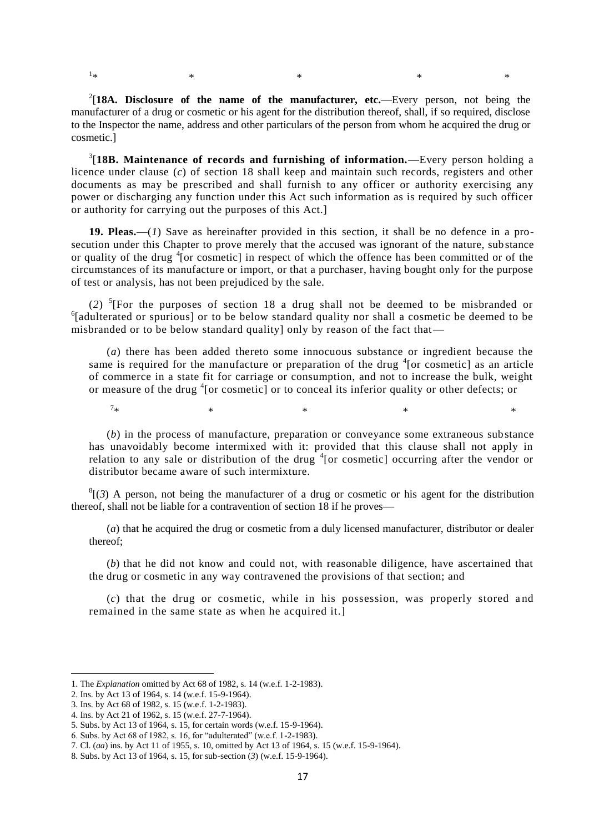2 [**18A. Disclosure of the name of the manufacturer, etc.**—Every person, not being the manufacturer of a drug or cosmetic or his agent for the distribution thereof, shall, if so required, disclose to the Inspector the name, address and other particulars of the person from whom he acquired the drug or cosmetic.]

 $*$   $*$   $*$   $*$   $*$   $*$ 

3 [**18B. Maintenance of records and furnishing of information.**—Every person holding a licence under clause (*c*) of section 18 shall keep and maintain such records, registers and other documents as may be prescribed and shall furnish to any officer or authority exercising any power or discharging any function under this Act such information as is required by such officer or authority for carrying out the purposes of this Act.]

**19. Pleas.—**(*1*) Save as hereinafter provided in this section, it shall be no defence in a prosecution under this Chapter to prove merely that the accused was ignorant of the nature, sub stance or quality of the drug  $\frac{4}{1}$  or cosmetic] in respect of which the offence has been committed or of the circumstances of its manufacture or import, or that a purchaser, having bought only for the purpose of test or analysis, has not been prejudiced by the sale.

(*2*) <sup>5</sup> [For the purposes of section 18 a drug shall not be deemed to be misbranded or <sup>6</sup>[adulterated or spurious] or to be below standard quality nor shall a cosmetic be deemed to be misbranded or to be below standard quality] only by reason of the fact that—

(*a*) there has been added thereto some innocuous substance or ingredient because the same is required for the manufacture or preparation of the drug  $<sup>4</sup>$  [or cosmetic] as an article</sup> of commerce in a state fit for carriage or consumption, and not to increase the bulk, weight or measure of the drug  $\rm{^4[}$  or cosmetic] or to conceal its inferior quality or other defects; or

 $7*$ 

 $1_{\ast}$ 

 $*$  \*  $*$  \*  $*$  \*  $*$  \*

(*b*) in the process of manufacture, preparation or conveyance some extraneous substance has unavoidably become intermixed with it: provided that this clause shall not apply in relation to any sale or distribution of the drug  $4$  [or cosmetic] occurring after the vendor or distributor became aware of such intermixture.

 ${}^{8}$ [(3) A person, not being the manufacturer of a drug or cosmetic or his agent for the distribution thereof, shall not be liable for a contravention of section 18 if he proves—

(*a*) that he acquired the drug or cosmetic from a duly licensed manufacturer, distributor or dealer thereof;

(*b*) that he did not know and could not, with reasonable diligence, have ascertained that the drug or cosmetic in any way contravened the provisions of that section; and

(*c*) that the drug or cosmetic, while in his possession, was properly stored a nd remained in the same state as when he acquired it.]

<sup>1.</sup> The *Explanation* omitted by Act 68 of 1982, s. 14 (w.e.f. 1-2-1983).

<sup>2.</sup> Ins. by Act 13 of 1964, s. 14 (w.e.f. 15-9-1964).

<sup>3.</sup> Ins. by Act 68 of 1982, s. 15 (w.e.f. 1-2-1983).

<sup>4.</sup> Ins. by Act 21 of 1962, s. 15 (w.e.f. 27-7-1964).

<sup>5.</sup> Subs. by Act 13 of 1964, s. 15, for certain words (w.e.f. 15-9-1964).

<sup>6.</sup> Subs. by Act 68 of 1982, s. 16, for "adulterated" (w.e.f. 1-2-1983).

<sup>7.</sup> Cl. (*aa*) ins. by Act 11 of 1955, s. 10, omitted by Act 13 of 1964, s. 15 (w.e.f. 15-9-1964).

<sup>8.</sup> Subs. by Act 13 of 1964, s. 15, for sub-section (*3*) (w.e.f. 15-9-1964).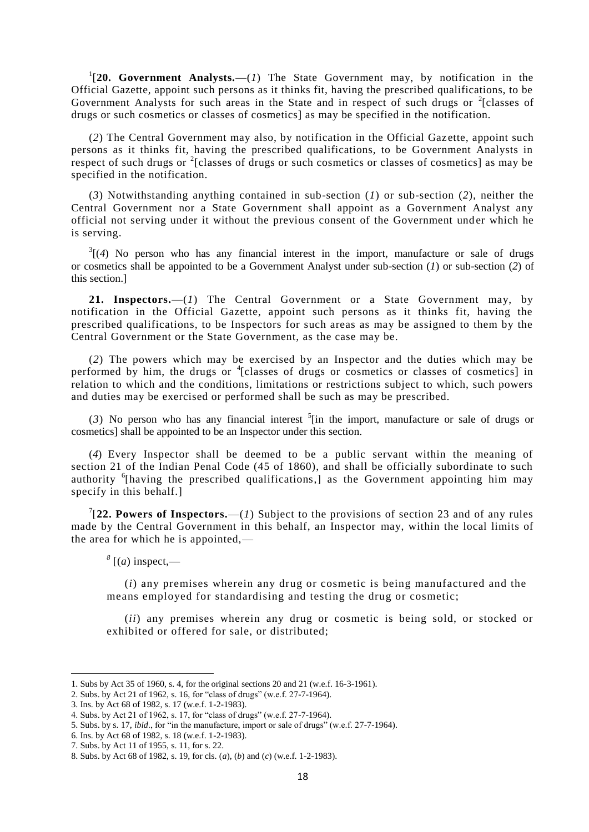$1$ <sup>1</sup>[20. Government Analysts.—(*1*) The State Government may, by notification in the Official Gazette, appoint such persons as it thinks fit, having the prescribed qualifications, to be Government Analysts for such areas in the State and in respect of such drugs or  $2$ [classes of drugs or such cosmetics or classes of cosmetics] as may be specified in the notification.

(*2*) The Central Government may also, by notification in the Official Gaz ette, appoint such persons as it thinks fit, having the prescribed qualifications, to be Government Analysts in respect of such drugs or  $^{2}$ [classes of drugs or such cosmetics or classes of cosmetics] as may be specified in the notification.

(*3*) Notwithstanding anything contained in sub-section (*1*) or sub-section (*2*)*,* neither the Central Government nor a State Government shall appoint as a Government Analyst any official not serving under it without the previous consent of the Government und er which he is serving.

 $3(4)$  No person who has any financial interest in the import, manufacture or sale of drugs or cosmetics shall be appointed to be a Government Analyst under sub-section (*1*) or sub-section (*2*) of this section.]

**21. Inspectors.**—(*1*) The Central Government or a State Government may, by notification in the Official Gazette, appoint such persons as it thinks fit, having the prescribed qualifications, to be Inspectors for such areas as may be assigned to them by the Central Government or the State Government, as the case may be.

(*2*) The powers which may be exercised by an Inspector and the duties which may be performed by him, the drugs or <sup>4</sup>[classes of drugs or cosmetics or classes of cosmetics] in relation to which and the conditions, limitations or restrictions subject to which, such powers and duties may be exercised or performed shall be such as may be prescribed.

(3) No person who has any financial interest  $5$ [in the import, manufacture or sale of drugs or cosmetics] shall be appointed to be an Inspector under this section.

(*4*) Every Inspector shall be deemed to be a public servant within the meaning of section 21 of the Indian Penal Code (45 of 1860), and shall be officially subordinate to such authority <sup>6</sup>[having the prescribed qualifications,] as the Government appointing him may specify in this behalf.]

 $7$ [22. Powers of Inspectors.—(*1*) Subject to the provisions of section 23 and of any rules made by the Central Government in this behalf, an Inspector may, within the local limits of the area for which he is appointed,—

 $^8$  [(*a*) inspect,—

(*i*) any premises wherein any drug or cosmetic is being manufactured and the means employed for standardising and testing the drug or cosmetic;

(*ii*) any premises wherein any drug or cosmetic is being sold, or stocked or exhibited or offered for sale, or distributed;

<sup>1.</sup> Subs by Act 35 of 1960, s. 4, for the original sections 20 and 21 (w.e.f. 16-3-1961).

<sup>2.</sup> Subs. by Act 21 of 1962, s. 16, for "class of drugs" (w.e.f. 27-7-1964).

<sup>3.</sup> Ins. by Act 68 of 1982, s. 17 (w.e.f. 1-2-1983).

<sup>4.</sup> Subs. by Act 21 of 1962, s. 17, for "class of drugs" (w.e.f. 27-7-1964).

<sup>5.</sup> Subs. by s. 17, *ibid*., for "in the manufacture, import or sale of drugs" (w.e.f. 27-7-1964).

<sup>6.</sup> Ins. by Act 68 of 1982, s. 18 (w.e.f. 1-2-1983).

<sup>7.</sup> Subs. by Act 11 of 1955, s. 11, for s. 22.

<sup>8.</sup> Subs. by Act 68 of 1982, s. 19, for cls. (*a*), (*b*) and (*c*) (w.e.f. 1-2-1983).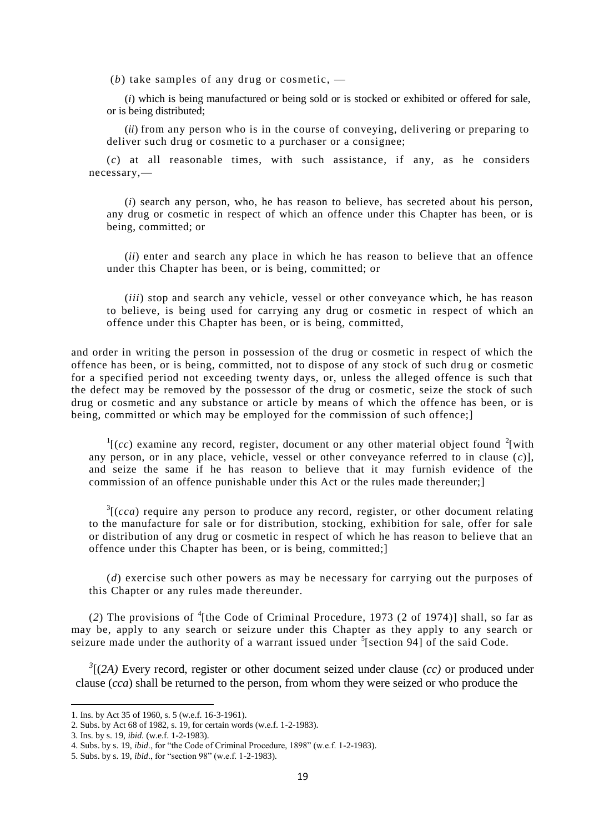(*b*) take samples of any drug or cosmetic, —

(*i*) which is being manufactured or being sold or is stocked or exhibited or offered for sale, or is being distributed;

(*ii*) from any person who is in the course of conveying, delivering or preparing to deliver such drug or cosmetic to a purchaser or a consignee;

(*c*) at all reasonable times, with such assistance, if any, as he considers necessary,—

(*i*) search any person, who, he has reason to believe, has secreted about his person, any drug or cosmetic in respect of which an offence under this Chapter has been, or is being, committed; or

(*ii*) enter and search any place in which he has reason to believe that an offence under this Chapter has been, or is being, committed; or

(*iii*) stop and search any vehicle, vessel or other conveyance which, he has reason to believe, is being used for carrying any drug or cosmetic in respect of which an offence under this Chapter has been, or is being, committed,

and order in writing the person in possession of the drug or cosmetic in respect of which the offence has been, or is being, committed, not to dispose of any stock of such dru g or cosmetic for a specified period not exceeding twenty days, or, unless the alleged offence is such that the defect may be removed by the possessor of the drug or cosmetic, seize the stock of such drug or cosmetic and any substance or article by means of which the offence has been, or is being, committed or which may be employed for the commission of such offence;]

 $\int$ <sup>1</sup>[(*cc*) examine any record, register, document or any other material object found <sup>2</sup>[with any person, or in any place, vehicle, vessel or other conveyance referred to in clause (*c*)], and seize the same if he has reason to believe that it may furnish evidence of the commission of an offence punishable under this Act or the rules made thereunder;]

 $\int_{0}^{3}$ [(*cca*) require any person to produce any record, register, or other document relating to the manufacture for sale or for distribution, stocking, exhibition for sale, offer for sale or distribution of any drug or cosmetic in respect of which he has reason to believe that an offence under this Chapter has been, or is being, committed;]

(*d*) exercise such other powers as may be necessary for carrying out the purposes of this Chapter or any rules made thereunder.

(2) The provisions of  ${}^{4}$ [the Code of Criminal Procedure, 1973 (2 of 1974)] shall, so far as may be, apply to any search or seizure under this Chapter as they apply to any search or seizure made under the authority of a warrant issued under  $\frac{5}{5}$  [section 94] of the said Code.

 $3$ <sup>2</sup> $(2A)$  Every record, register or other document seized under clause (*cc*) or produced under clause (*cca*) shall be returned to the person, from whom they were seized or who produce the

<sup>1.</sup> Ins. by Act 35 of 1960, s. 5 (w.e.f. 16-3-1961).

<sup>2.</sup> Subs. by Act 68 of 1982, s. 19, for certain words (w.e.f. 1-2-1983).

<sup>3.</sup> Ins. by s. 19, *ibid.* (w.e.f. 1-2-1983).

<sup>4.</sup> Subs. by s. 19, *ibid*., for "the Code of Criminal Procedure, 1898" (w.e.f. 1-2-1983).

<sup>5.</sup> Subs. by s. 19, *ibid*., for "section 98" (w.e.f. 1-2-1983).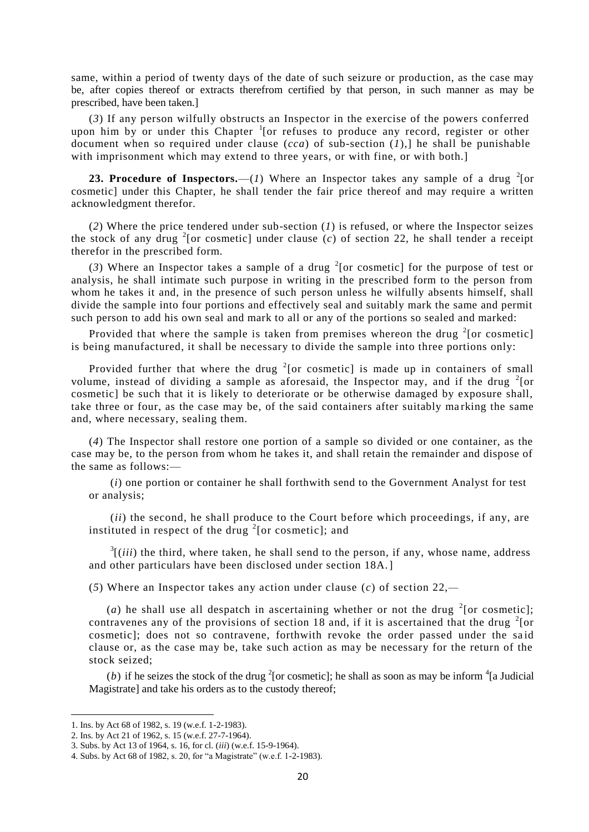same, within a period of twenty days of the date of such seizure or production, as the case may be, after copies thereof or extracts therefrom certified by that person, in such manner as may be prescribed, have been taken.]

(*3*) If any person wilfully obstructs an Inspector in the exercise of the powers conferred upon him by or under this Chapter  $1$ [or refuses to produce any record, register or other document when so required under clause (*cca*) of sub-section (*1*),] he shall be punishable with imprisonment which may extend to three years, or with fine, or with both.]

**23. Procedure of Inspectors.**—(*1*) Where an Inspector takes any sample of a drug  $^{2}$ [or cosmetic] under this Chapter, he shall tender the fair price thereof and may require a written acknowledgment therefor.

(*2*) Where the price tendered under sub-section (*1*) is refused, or where the Inspector seizes the stock of any drug <sup>2</sup>[or cosmetic] under clause (*c*) of section 22, he shall tender a receipt therefor in the prescribed form.

(3) Where an Inspector takes a sample of a drug  $2$ [or cosmetic] for the purpose of test or analysis, he shall intimate such purpose in writing in the prescribed form to the person from whom he takes it and, in the presence of such person unless he wilfully absents himself, shall divide the sample into four portions and effectively seal and suitably mark the same and permit such person to add his own seal and mark to all or any of the portions so sealed and marked:

Provided that where the sample is taken from premises whereon the drug  $2$ [or cosmetic] is being manufactured, it shall be necessary to divide the sample into three portions only:

Provided further that where the drug  $2$ [or cosmetic] is made up in containers of small volume, instead of dividing a sample as aforesaid, the Inspector may, and if the drug  $2$ [or cosmetic] be such that it is likely to deteriorate or be otherwise damaged by exposure shall, take three or four, as the case may be, of the said containers after suitably marking the same and, where necessary, sealing them.

(*4*) The Inspector shall restore one portion of a sample so divided or one container, as the case may be, to the person from whom he takes it, and shall retain the remainder and dispose of the same as follows:—

(*i*) one portion or container he shall forthwith send to the Government Analyst for test or analysis;

(*ii*) the second, he shall produce to the Court before which proceedings, if any, are instituted in respect of the drug  $2$ [or cosmetic]; and

 $3$ [(*iii*) the third, where taken, he shall send to the person, if any, whose name, address and other particulars have been disclosed under section 18A.]

(*5*) Where an Inspector takes any action under clause (*c*) of section 22,*—*

(*a*) he shall use all despatch in ascertaining whether or not the drug  $2$ [or cosmetic]; contravenes any of the provisions of section 18 and, if it is ascertained that the drug  $^{2}$  [or cosmetic]; does not so contravene, forthwith revoke the order passed under the said clause or, as the case may be, take such action as may be necessary for the return of the stock seized;

(*b*) if he seizes the stock of the drug <sup>2</sup>[or cosmetic]; he shall as soon as may be inform <sup>4</sup>[a Judicial] Magistrate] and take his orders as to the custody thereof;

<sup>1.</sup> Ins. by Act 68 of 1982, s. 19 (w.e.f. 1-2-1983).

<sup>2.</sup> Ins. by Act 21 of 1962, s. 15 (w.e.f. 27-7-1964).

<sup>3.</sup> Subs. by Act 13 of 1964, s. 16, for cl. (*iii*) (w.e.f. 15-9-1964).

<sup>4.</sup> Subs. by Act 68 of 1982, s. 20, for "a Magistrate" (w.e.f. 1-2-1983).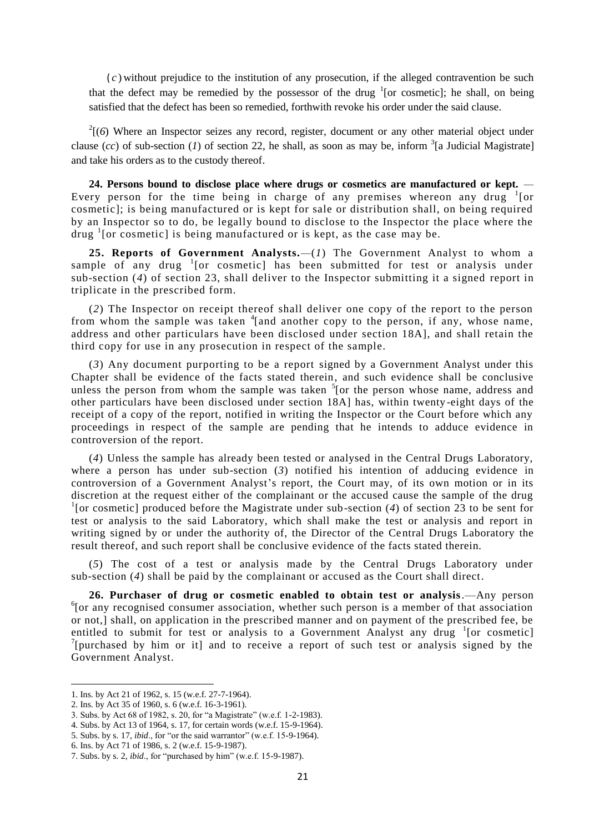( *c* ) without prejudice to the institution of any prosecution, if the alleged contravention be such that the defect may be remedied by the possessor of the drug  $1$ [or cosmetic]; he shall, on being satisfied that the defect has been so remedied, forthwith revoke his order under the said clause.

 $2(6)$  Where an Inspector seizes any record, register, document or any other material object under clause  $(cc)$  of sub-section (*1*) of section 22, he shall, as soon as may be, inform  $\frac{3}{2}$ [a Judicial Magistrate] and take his orders as to the custody thereof.

**24. Persons bound to disclose place where drugs or cosmetics are manufactured or kept.** *—* Every person for the time being in charge of any premises whereon any drug  $1$ [or cosmetic]; is being manufactured or is kept for sale or distribution shall, on being required by an Inspector so to do, be legally bound to disclose to the Inspector the place where the drug<sup>1</sup>[or cosmetic] is being manufactured or is kept, as the case may be.

**25. Reports of Government Analysts.***—*(*1*) The Government Analyst to whom a sample of any drug  $1$  [or cosmetic] has been submitted for test or analysis under sub-section (*4*) of section 23, shall deliver to the Inspector submitting it a signed report in triplicate in the prescribed form.

(*2*) The Inspector on receipt thereof shall deliver one copy of the report to the person from whom the sample was taken <sup>4</sup>[and another copy to the person, if any, whose name, address and other particulars have been disclosed under section 18A], and shall retain the third copy for use in any prosecution in respect of the sample.

(*3*) Any document purporting to be a report signed by a Government Analyst under this Chapter shall be evidence of the facts stated therein, and such evidence shall be conclusive unless the person from whom the sample was taken  $5$  [or the person whose name, address and other particulars have been disclosed under section 18A] has, within twenty -eight days of the receipt of a copy of the report, notified in writing the Inspector or the Court before which any proceedings in respect of the sample are pending that he intends to adduce evidence in controversion of the report.

(*4*) Unless the sample has already been tested or analysed in the Central Drugs Laboratory, where a person has under sub-section (*3*) notified his intention of adducing evidence in controversion of a Government Analyst's report, the Court may, of its own motion or in its discretion at the request either of the complainant or the accused cause the sample of the drug <sup>1</sup>[or cosmetic] produced before the Magistrate under sub-section (4) of section 23 to be sent for test or analysis to the said Laboratory, which shall make the test or analysis and report in writing signed by or under the authority of, the Director of the Central Drugs Laboratory the result thereof, and such report shall be conclusive evidence of the facts stated therein.

(*5*) The cost of a test or analysis made by the Central Drugs Laboratory under sub-section (*4*) shall be paid by the complainant or accused as the Court shall direct.

**26. Purchaser of drug or cosmetic enabled to obtain test or analysis**.—Any person <sup>6</sup>[or any recognised consumer association, whether such person is a member of that association or not,] shall, on application in the prescribed manner and on payment of the prescribed fee, be entitled to submit for test or analysis to a Government Analyst any drug  $1$  [or cosmetic] <sup>7</sup>[purchased by him or it] and to receive a report of such test or analysis signed by the Government Analyst.

<sup>1.</sup> Ins. by Act 21 of 1962, s. 15 (w.e.f. 27-7-1964).

<sup>2.</sup> Ins. by Act 35 of 1960, s. 6 (w.e.f. 16-3-1961).

<sup>3.</sup> Subs. by Act 68 of 1982, s. 20, for "a Magistrate" (w.e.f. 1-2-1983).

<sup>4.</sup> Subs. by Act 13 of 1964, s. 17, for certain words (w.e.f. 15-9-1964).

<sup>5.</sup> Subs. by s. 17, *ibid*., for "or the said warrantor" (w.e.f. 15-9-1964).

<sup>6.</sup> Ins. by Act 71 of 1986, s. 2 (w.e.f. 15-9-1987).

<sup>7.</sup> Subs. by s. 2, *ibid*., for "purchased by him" (w.e.f. 15-9-1987).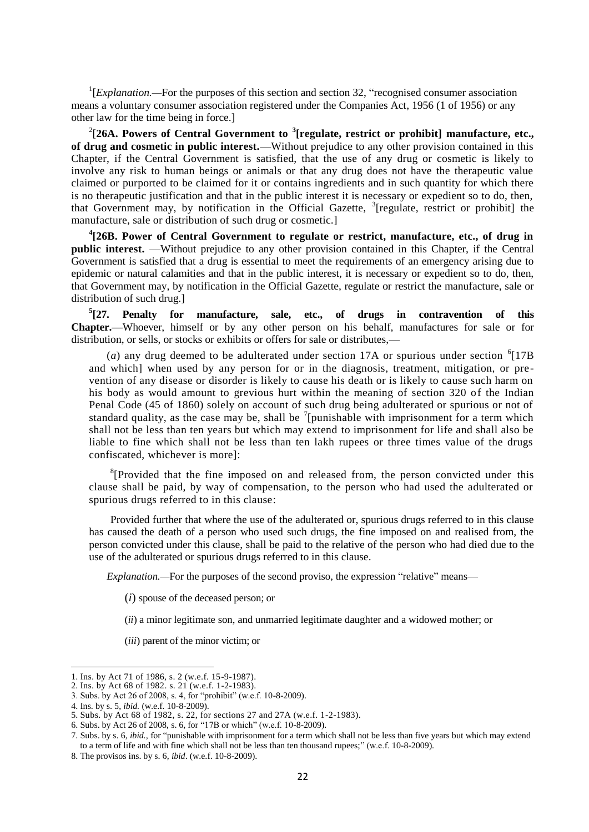<sup>1</sup>[*Explanation*.—For the purposes of this section and section 32, "recognised consumer association means a voluntary consumer association registered under the Companies Act, 1956 (1 of 1956) or any other law for the time being in force.]

<sup>2</sup>[26A. Powers of Central Government to <sup>3</sup>[regulate, restrict or prohibit] manufacture, etc., **of drug and cosmetic in public interest.**—Without prejudice to any other provision contained in this Chapter, if the Central Government is satisfied, that the use of any drug or cosmetic is likely to involve any risk to human beings or animals or that any drug does not have the therapeutic value claimed or purported to be claimed for it or contains ingredients and in such quantity for which there is no therapeutic justification and that in the public interest it is necessary or expedient so to do, then, that Government may, by notification in the Official Gazette, <sup>3</sup>[regulate, restrict or prohibit] the manufacture, sale or distribution of such drug or cosmetic.]

**4 [26B. Power of Central Government to regulate or restrict, manufacture, etc., of drug in public interest.** —Without prejudice to any other provision contained in this Chapter, if the Central Government is satisfied that a drug is essential to meet the requirements of an emergency arising due to epidemic or natural calamities and that in the public interest, it is necessary or expedient so to do, then, that Government may, by notification in the Official Gazette, regulate or restrict the manufacture, sale or distribution of such drug.]

 $^{5}$ [27. **[27. Penalty for manufacture, sale, etc., of drugs in contravention of this Chapter.—**Whoever, himself or by any other person on his behalf, manufactures for sale or for distribution, or sells, or stocks or exhibits or offers for sale or distributes,—

(*a*) any drug deemed to be adulterated under section 17A or spurious under section  ${}^{6}$ [17B and which] when used by any person for or in the diagnosis, treatment, mitigation, or pre vention of any disease or disorder is likely to cause his death or is likely to cause such harm on his body as would amount to grevious hurt within the meaning of section 320 of the Indian Penal Code (45 of 1860) solely on account of such drug being adulterated or spurious or not of standard quality, as the case may be, shall be  $\frac{7}{2}$  [punishable with imprisonment for a term which shall not be less than ten years but which may extend to imprisonment for life and shall also be liable to fine which shall not be less than ten lakh rupees or three times value of the drugs confiscated, whichever is more]:

<sup>8</sup>[Provided that the fine imposed on and released from, the person convicted under this clause shall be paid, by way of compensation, to the person who had used the adulterated or spurious drugs referred to in this clause:

Provided further that where the use of the adulterated or, spurious drugs referred to in this clause has caused the death of a person who used such drugs, the fine imposed on and realised from, the person convicted under this clause, shall be paid to the relative of the person who had died due to the use of the adulterated or spurious drugs referred to in this clause.

*Explanation.*—For the purposes of the second proviso, the expression "relative" means—

- (*i*) spouse of the deceased person; or
- (*ii*) a minor legitimate son, and unmarried legitimate daughter and a widowed mother; or
- (*iii*) parent of the minor victim; or

<sup>1.</sup> Ins. by Act 71 of 1986, s. 2 (w.e.f. 15-9-1987).

<sup>2.</sup> Ins. by Act 68 of 1982. s. 21 (w.e.f. 1-2-1983).

<sup>3.</sup> Subs. by Act 26 of 2008, s. 4, for "prohibit" (w.e.f. 10-8-2009).

<sup>4.</sup> Ins. by s. 5, *ibid.* (w.e.f. 10-8-2009).

<sup>5.</sup> Subs. by Act 68 of 1982, s. 22, for sections 27 and 27A (w.e.f. 1-2-1983).

<sup>6.</sup> Subs. by Act 26 of 2008, s. 6, for "17B or which" (w.e.f. 10-8-2009).

<sup>7.</sup> Subs. by s. 6, *ibid.,* for "punishable with imprisonment for a term which shall not be less than five years but which may extend to a term of life and with fine which shall not be less than ten thousand rupees;" (w.e.f. 10-8-2009).

<sup>8.</sup> The provisos ins. by s. 6, *ibid*. (w.e.f. 10-8-2009).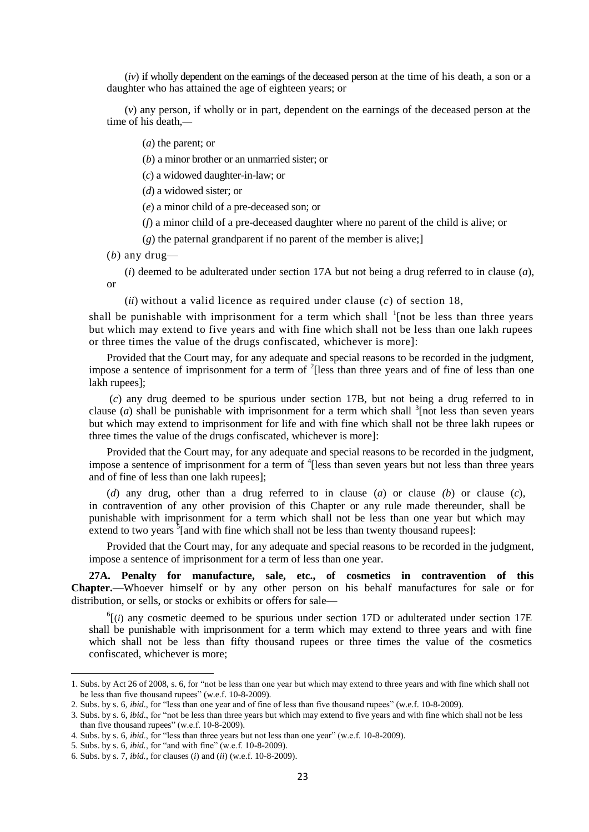(*iv*) if wholly dependent on the earnings of the deceased person at the time of his death, a son or a daughter who has attained the age of eighteen years; or

(*v*) any person, if wholly or in part, dependent on the earnings of the deceased person at the time of his death,*—*

(*a*) the parent; or

(*b*) a minor brother or an unmarried sister; or

(*c*) a widowed daughter-in-law; or

(*d*) a widowed sister; or

(*e*) a minor child of a pre-deceased son; or

(*f*) a minor child of a pre-deceased daughter where no parent of the child is alive; or

(*g*) the paternal grandparent if no parent of the member is alive;]

(*b*) any drug—

(*i*) deemed to be adulterated under section 17A but not being a drug referred to in clause (*a*)*,*  or

(*ii*) without a valid licence as required under clause (*c*) of section 18,

shall be punishable with imprisonment for a term which shall  $\frac{1}{1}$  [not be less than three years but which may extend to five years and with fine which shall not be less than one lakh rupees or three times the value of the drugs confiscated, whichever is more]:

Provided that the Court may, for any adequate and special reasons to be recorded in the judgment, impose a sentence of imprisonment for a term of <sup>2</sup>[less than three years and of fine of less than one lakh rupees];

(*c*) any drug deemed to be spurious under section 17B, but not being a drug referred to in clause  $(a)$  shall be punishable with imprisonment for a term which shall  $\frac{3}{2}$  [not less than seven years but which may extend to imprisonment for life and with fine which shall not be three lakh rupees or three times the value of the drugs confiscated, whichever is more]:

Provided that the Court may, for any adequate and special reasons to be recorded in the judgment, impose a sentence of imprisonment for a term of <sup>4</sup>[less than seven years but not less than three years and of fine of less than one lakh rupees];

(*d*) any drug, other than a drug referred to in clause (*a*) or clause *(b*) or clause (*c*)*,*  in contravention of any other provision of this Chapter or any rule made thereunder, shall be punishable with imprisonment for a term which shall not be less than one year but which may extend to two years  $\frac{3}{2}$  [and with fine which shall not be less than twenty thousand rupees]:

Provided that the Court may, for any adequate and special reasons to be recorded in the judgment, impose a sentence of imprisonment for a term of less than one year.

**27A. Penalty for manufacture, sale, etc., of cosmetics in contravention of this Chapter.—**Whoever himself or by any other person on his behalf manufactures for sale or for distribution, or sells, or stocks or exhibits or offers for sale—

 $<sup>6</sup>$ [(*i*) any cosmetic deemed to be spurious under section 17D or adulterated under section 17E</sup> shall be punishable with imprisonment for a term which may extend to three years and with fine which shall not be less than fifty thousand rupees or three times the value of the cosmetics confiscated, whichever is more;

<sup>1.</sup> Subs. by Act 26 of 2008, s. 6, for "not be less than one year but which may extend to three years and with fine which shall not be less than five thousand rupees" (w.e.f. 10-8-2009).

<sup>2.</sup> Subs. by s. 6, *ibid*., for "less than one year and of fine of less than five thousand rupees" (w.e.f. 10-8-2009).

<sup>3.</sup> Subs. by s. 6, *ibid*., for "not be less than three years but which may extend to five years and with fine which shall not be less than five thousand rupees" (w.e.f. 10-8-2009).

<sup>4.</sup> Subs. by s. 6, *ibid*., for "less than three years but not less than one year" (w.e.f. 10-8-2009).

<sup>5.</sup> Subs. by s. 6, *ibid.*, for "and with fine" (w.e.f. 10-8-2009).

<sup>6.</sup> Subs. by s. 7, *ibid.*, for clauses (*i*) and (*ii*) (w.e.f. 10-8-2009).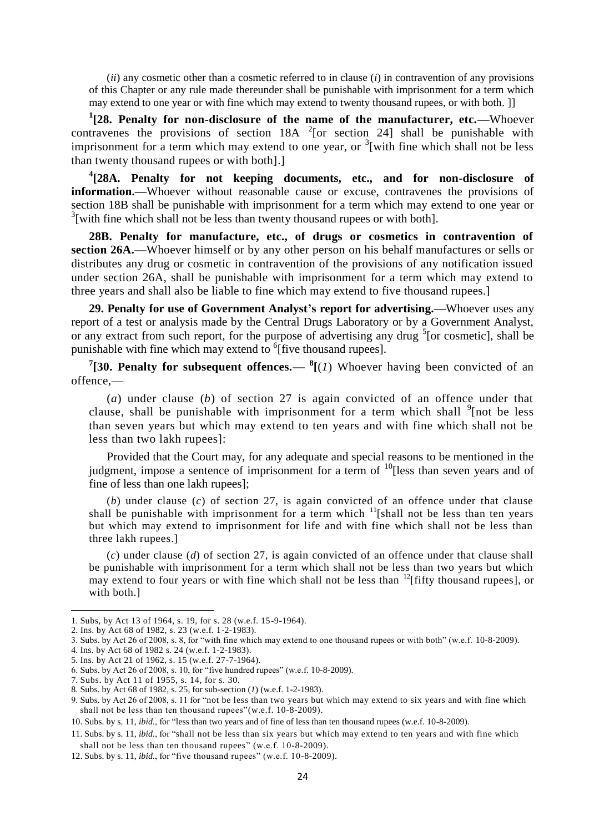(*ii*) any cosmetic other than a cosmetic referred to in clause (*i*) in contravention of any provisions of this Chapter or any rule made thereunder shall be punishable with imprisonment for a term which may extend to one year or with fine which may extend to twenty thousand rupees, or with both. ]]

**1 [28. Penalty for non-disclosure of the name of the manufacturer, etc.—**Whoever contravenes the provisions of section  $18A^{-2}$  [or section 24] shall be punishable with imprisonment for a term which may extend to one year, or  $\frac{3}{1}$  with fine which shall not be less than twenty thousand rupees or with both].]

**4 [28A. Penalty for not keeping documents, etc., and for non-disclosure of information.—**Whoever without reasonable cause or excuse, contravenes the provisions of section 18B shall be punishable with imprisonment for a term which may extend to one year or  $3$ [with fine which shall not be less than twenty thousand rupees or with both].

**28B. Penalty for manufacture, etc., of drugs or cosmetics in contravention of section 26A.—**Whoever himself or by any other person on his behalf manufactures or sells or distributes any drug or cosmetic in contravention of the provisions of any notification issued under section 26A, shall be punishable with imprisonment for a term which may extend to three years and shall also be liable to fine which may extend to five thousand rupees.]

**29. Penalty for use of Government Analyst's report for advertising.—**Whoever uses any report of a test or analysis made by the Central Drugs Laboratory or by a Government Analyst, or any extract from such report, for the purpose of advertising any drug  $5$  [or cosmetic], shall be punishable with fine which may extend to <sup>6</sup>[five thousand rupees].

**7**[30. Penalty for subsequent offences.—  $^{8}$ [(*1*) Whoever having been convicted of an offence,—

(*a*) under clause (*b*) of section 27 is again convicted of an offence under that clause, shall be punishable with imprisonment for a term which shall  $\frac{9}{2}$  [not be less than seven years but which may extend to ten years and with fine which shall not be less than two lakh rupees]:

Provided that the Court may, for any adequate and special reasons to be mentioned in the judgment, impose a sentence of imprisonment for a term of  $^{10}$ [less than seven years and of fine of less than one lakh rupees];

(*b*) under clause (*c*) of section 27, is again convicted of an offence under that clause shall be punishable with imprisonment for a term which  $\frac{11}{15}$ shall not be less than ten years but which may extend to imprisonment for life and with fine which shall not be less than three lakh rupees.]

(*c*) under clause (*d*) of section 27, is again convicted of an offence under that clause shall be punishable with imprisonment for a term which shall not be less than two years but which may extend to four years or with fine which shall not be less than  $^{12}$ [fifty thousand rupees], or with both.]

<sup>1.</sup> Subs, by Act 13 of 1964, s. 19, for s. 28 (w.e.f. 15-9-1964).

<sup>2.</sup> Ins. by Act 68 of 1982, s. 23 (w.e.f. 1-2-1983).

<sup>3.</sup> Subs. by Act 26 of 2008, s. 8, for "with fine which may extend to one thousand rupees or with both" (w.e.f. 10-8-2009).

<sup>4.</sup> Ins. by Act 68 of 1982 s. 24 (w.e.f. 1-2-1983).

<sup>5.</sup> Ins. by Act 21 of 1962, s. 15 (w.e.f. 27-7-1964).

<sup>6.</sup> Subs. by Act 26 of 2008, s. 10, for "five hundred rupees" (w.e.f. 10-8-2009).

<sup>7.</sup> Subs. by Act 11 of 1955, s. 14, for s. 30.

<sup>8.</sup> Subs. by Act 68 of 1982, s. 25, for sub-section (*1*) (w.e.f. 1-2-1983).

<sup>9.</sup> Subs. by Act 26 of 2008, s. 11 for "not be less than two years but which may extend to six years and with fine which shall not be less than ten thousand rupees"(w.e.f. 10-8-2009).

<sup>10.</sup> Subs. by s. 11, *ibid*., for "less than two years and of fine of less than ten thousand rupees (w.e.f. 10-8-2009).

<sup>11.</sup> Subs. by s. 11, *ibid*., for "shall not be less than six years but which may extend to ten years and with fine which shall not be less than ten thousand rupees" (w.e.f. 10-8-2009).

<sup>12.</sup> Subs. by s. 11, *ibid*., for "five thousand rupees" (w.e.f. 10-8-2009).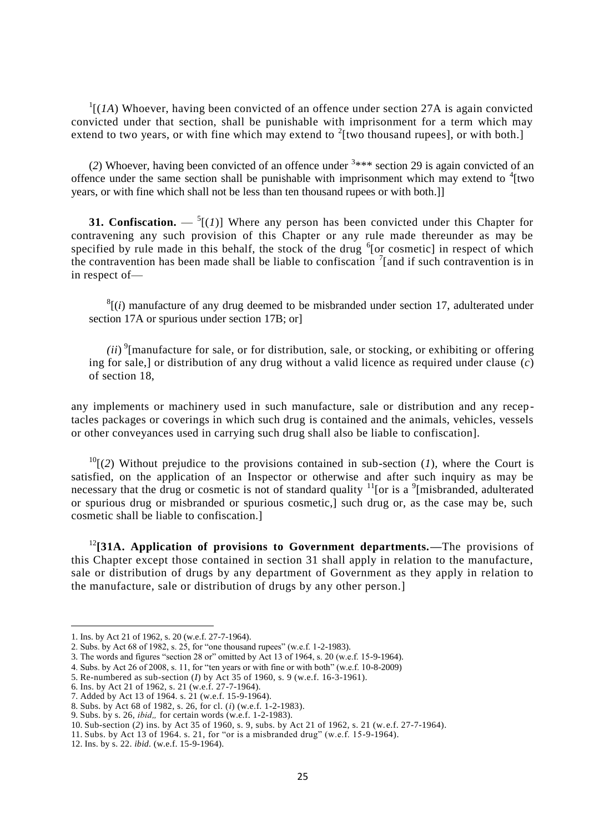$<sup>1</sup>$ [(*IA*) Whoever, having been convicted of an offence under section 27A is again convicted</sup> convicted under that section, shall be punishable with imprisonment for a term which may extend to two years, or with fine which may extend to  $2$ [two thousand rupees], or with both.]

(2) Whoever, having been convicted of an offence under  $3***$  section 29 is again convicted of an offence under the same section shall be punishable with imprisonment which may extend to  ${}^{4}$ [two years, or with fine which shall not be less than ten thousand rupees or with both.]]

**31. Confiscation.**  $-$  <sup>5</sup>[(*1*)] Where any person has been convicted under this Chapter for contravening any such provision of this Chapter or any rule made thereunder as may be specified by rule made in this behalf, the stock of the drug  $6$  [or cosmetic] in respect of which the contravention has been made shall be liable to confiscation  $\frac{7}{1}$  and if such contravention is in in respect of**—**

 $<sup>8</sup>$ [(*i*) manufacture of any drug deemed to be misbranded under section 17, adulterated under</sup> section 17A or spurious under section 17B; or]

(*ii*)<sup>9</sup>[manufacture for sale, or for distribution, sale, or stocking, or exhibiting or offering ing for sale,] or distribution of any drug without a valid licence as required under clause (*c*) of section 18,

any implements or machinery used in such manufacture, sale or distribution and any receptacles packages or coverings in which such drug is contained and the animals, vehicles, vessels or other conveyances used in carrying such drug shall also be liable to confiscation].

 $^{10}$ [(2) Without prejudice to the provisions contained in sub-section (*1*), where the Court is satisfied, on the application of an Inspector or otherwise and after such inquiry as may be necessary that the drug or cosmetic is not of standard quality  $11$  [or is a  $9$ [misbranded, adulterated or spurious drug or misbranded or spurious cosmetic,] such drug or, as the case may be, such cosmetic shall be liable to confiscation.]

<sup>12</sup>**[31A. Application of provisions to Government departments.—**The provisions of this Chapter except those contained in section 31 shall apply in relation to the manufacture, sale or distribution of drugs by any department of Government as they apply in relation to the manufacture, sale or distribution of drugs by any other person.]

<sup>1.</sup> Ins. by Act 21 of 1962, s. 20 (w.e.f. 27-7-1964).

<sup>2.</sup> Subs. by Act 68 of 1982, s. 25, for "one thousand rupees" (w.e.f. 1-2-1983).

<sup>3.</sup> The words and figures "section 28 or" omitted by Act 13 of 1964, s. 20 (w.e.f. 15-9-1964).

<sup>4.</sup> Subs. by Act 26 of 2008, s. 11, for "ten years or with fine or with both" (w.e.f. 10-8-2009)

<sup>5.</sup> Re-numbered as sub-section (*I*) by Act 35 of 1960, s. 9 (w.e.f. 16-3-1961).

<sup>6.</sup> Ins. by Act 21 of 1962, s. 21 (w.e.f. 27-7-1964).

<sup>7.</sup> Added by Act 13 of 1964. s. 21 (w.e.f. 15-9-1964).

<sup>8.</sup> Subs. by Act 68 of 1982, s. 26, for cl. (*i*) (w.e.f. 1-2-1983). 9. Subs. by s. 26, *ibid*, for certain words (w.e.f. 1-2-1983).

<sup>10.</sup> Sub-section (*2*) ins. by Act 35 of 1960, s. 9, subs. by Act 21 of 1962, s. 21 (w. e.f. 27-7-1964).

<sup>11.</sup> Subs. by Act 13 of 1964. s. 21, for "or is a misbranded drug" (w.e.f. 15-9-1964).

<sup>12.</sup> Ins. by s. 22. *ibid.* (w.e.f. 15-9-1964).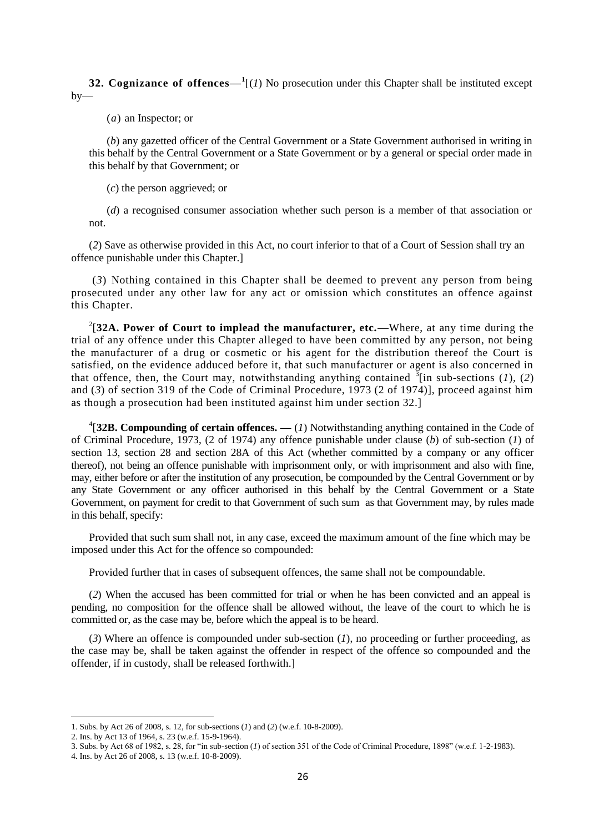**32. Cognizance of offences—<sup>1</sup>** [(*1*) No prosecution under this Chapter shall be instituted except  $by-$ 

(*a*) an Inspector; or

(*b*) any gazetted officer of the Central Government or a State Government authorised in writing in this behalf by the Central Government or a State Government or by a general or special order made in this behalf by that Government; or

(*c*) the person aggrieved; or

(*d*) a recognised consumer association whether such person is a member of that association or not.

(*2*) Save as otherwise provided in this Act, no court inferior to that of a Court of Session shall try an offence punishable under this Chapter.]

(*3*) Nothing contained in this Chapter shall be deemed to prevent any person from being prosecuted under any other law for any act or omission which constitutes an offence against this Chapter.

<sup>2</sup>[32A. Power of Court to implead the manufacturer, etc.—Where, at any time during the trial of any offence under this Chapter alleged to have been committed by any person, not being the manufacturer of a drug or cosmetic or his agent for the distribution thereof the Court is satisfied, on the evidence adduced before it, that such manufacturer or agent is also concerned in that offence, then, the Court may, notwithstanding anything contained  $\frac{3}{3}$ [in sub-sections (1), (2) and (*3*) of section 319 of the Code of Criminal Procedure, 1973 (2 of 1974)], proceed against him as though a prosecution had been instituted against him under section 32.]

4 [**32B. Compounding of certain offences. —** (*1*) Notwithstanding anything contained in the Code of of Criminal Procedure, 1973, (2 of 1974) any offence punishable under clause (*b*) of sub-section (*1*) of section 13, section 28 and section 28A of this Act (whether committed by a company or any officer thereof), not being an offence punishable with imprisonment only, or with imprisonment and also with fine, may, either before or after the institution of any prosecution, be compounded by the Central Government or by any State Government or any officer authorised in this behalf by the Central Government or a State Government, on payment for credit to that Government of such sum as that Government may, by rules made in this behalf, specify:

Provided that such sum shall not, in any case, exceed the maximum amount of the fine which may be imposed under this Act for the offence so compounded:

Provided further that in cases of subsequent offences, the same shall not be compoundable.

(*2*) When the accused has been committed for trial or when he has been convicted and an appeal is pending, no composition for the offence shall be allowed without, the leave of the court to which he is committed or, as the case may be, before which the appeal is to be heard.

(*3*) Where an offence is compounded under sub-section (*1*), no proceeding or further proceeding, as the case may be, shall be taken against the offender in respect of the offence so compounded and the offender, if in custody, shall be released forthwith.]

<sup>1.</sup> Subs. by Act 26 of 2008, s. 12, for sub-sections (*1*) and (*2*) (w.e.f. 10-8-2009).

<sup>2.</sup> Ins. by Act 13 of 1964, s. 23 (w.e.f. 15-9-1964).

<sup>3.</sup> Subs. by Act 68 of 1982, s. 28, for "in sub-section (*1*) of section 351 of the Code of Criminal Procedure, 1898" (w.e.f. 1-2-1983).

<sup>4.</sup> Ins. by Act 26 of 2008, s. 13 (w.e.f. 10-8-2009).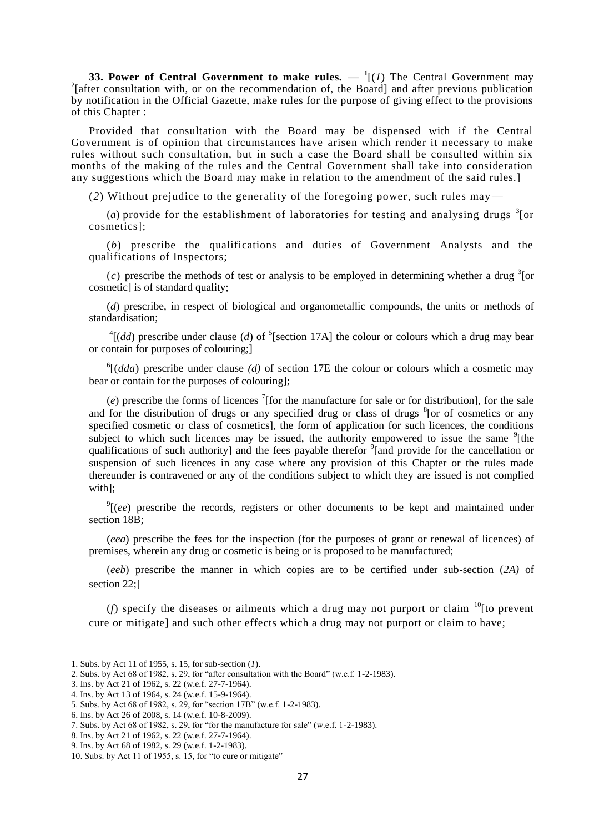**33. Power of Central Government to make rules.**  $- \binom{1}{l}$  **The Central Government may** <sup>2</sup>[after consultation with, or on the recommendation of, the Board] and after previous publication by notification in the Official Gazette, make rules for the purpose of giving effect to the provisions of this Chapter :

Provided that consultation with the Board may be dispensed with if the Central Government is of opinion that circumstances have arisen which render it necessary to make rules without such consultation, but in such a case the Board shall be consulted within six months of the making of the rules and the Central Government shall take into consideration any suggestions which the Board may make in relation to the amendment of the said rules.]

(*2*) Without prejudice to the generality of the foregoing power, such rules may—

(*a*) provide for the establishment of laboratories for testing and analysing drugs  $\frac{3}{2}$  [or cosmetics];

(*b*) prescribe the qualifications and duties of Government Analysts and the qualifications of Inspectors;

 $(c)$  prescribe the methods of test or analysis to be employed in determining whether a drug <sup>3</sup>[or cosmetic] is of standard quality;

(*d*) prescribe, in respect of biological and organometallic compounds, the units or methods of standardisation;

 $^{4}$ [(*dd*) prescribe under clause (*d*) of <sup>5</sup>[section 17A] the colour or colours which a drug may bear or contain for purposes of colouring;]

 $^{6}$ [(*dda*) prescribe under clause (*d*) of section 17E the colour or colours which a cosmetic may bear or contain for the purposes of colouring];

 $(e)$  prescribe the forms of licences<sup>7</sup> [for the manufacture for sale or for distribution], for the sale and for the distribution of drugs or any specified drug or class of drugs  ${}^{8}$  [or of cosmetics or any specified cosmetic or class of cosmetics], the form of application for such licences, the conditions subject to which such licences may be issued, the authority empowered to issue the same  $9$ [the qualifications of such authority] and the fees payable therefor <sup>9</sup>[and provide for the cancellation or suspension of such licences in any case where any provision of this Chapter or the rules made thereunder is contravened or any of the conditions subject to which they are issued is not complied with];

<sup>9</sup>[(ee) prescribe the records, registers or other documents to be kept and maintained under section 18B;

(*eea*) prescribe the fees for the inspection (for the purposes of grant or renewal of licences) of premises, wherein any drug or cosmetic is being or is proposed to be manufactured;

(*eeb*) prescribe the manner in which copies are to be certified under sub-section (*2A)* of section 22;]

(*f*) specify the diseases or ailments which a drug may not purport or claim  $^{10}$  [to prevent cure or mitigate] and such other effects which a drug may not purport or claim to have;

<sup>1.</sup> Subs. by Act 11 of 1955, s. 15, for sub-section (*1*).

<sup>2.</sup> Subs. by Act 68 of 1982, s. 29, for "after consultation with the Board" (w.e.f. 1-2-1983).

<sup>3.</sup> Ins. by Act 21 of 1962, s. 22 (w.e.f. 27-7-1964).

<sup>4.</sup> Ins. by Act 13 of 1964, s. 24 (w.e.f. 15-9-1964).

<sup>5.</sup> Subs. by Act 68 of 1982, s. 29, for "section 17B" (w.e.f. 1-2-1983).

<sup>6.</sup> Ins. by Act 26 of 2008, s. 14 (w.e.f. 10-8-2009).

<sup>7.</sup> Subs. by Act 68 of 1982, s. 29, for "for the manufacture for sale" (w.e.f. 1-2-1983).

<sup>8.</sup> Ins. by Act 21 of 1962, s. 22 (w.e.f. 27-7-1964).

<sup>9.</sup> Ins. by Act 68 of 1982, s. 29 (w.e.f. 1-2-1983).

<sup>10.</sup> Subs. by Act 11 of 1955, s. 15, for "to cure or mitigate"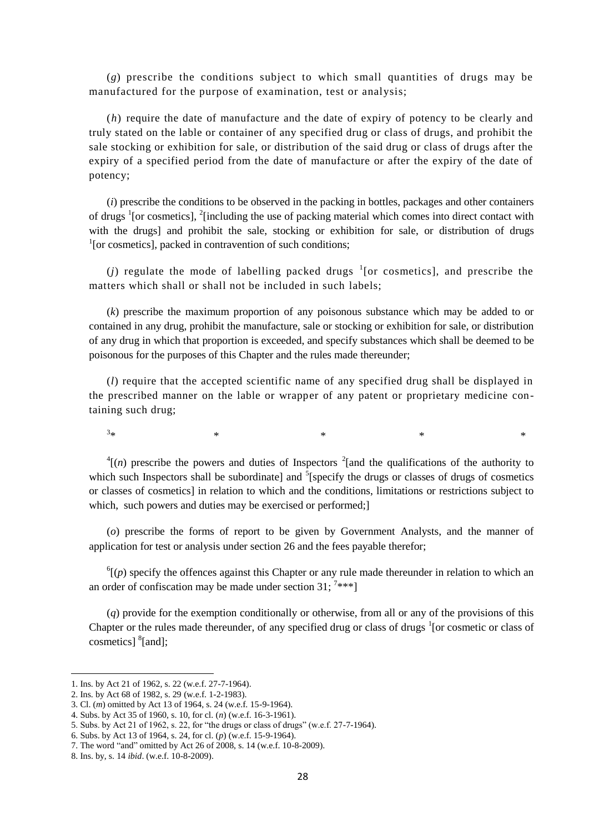(*g*) prescribe the conditions subject to which small quantities of drugs may be manufactured for the purpose of examination, test or analysis;

(*h*) require the date of manufacture and the date of expiry of potency to be clearly and truly stated on the lable or container of any specified drug or class of drugs, and prohibit the sale stocking or exhibition for sale, or distribution of the said drug or class of drugs after the expiry of a specified period from the date of manufacture or after the expiry of the date of potency;

(*i*) prescribe the conditions to be observed in the packing in bottles, packages and other containers of drugs <sup>1</sup> [or cosmetics], <sup>2</sup> [including the use of packing material which comes into direct contact with with the drugs] and prohibit the sale, stocking or exhibition for sale, or distribution of drugs <sup>1</sup>[or cosmetics], packed in contravention of such conditions;

 $(j)$  regulate the mode of labelling packed drugs  $\frac{1}{i}$  [or cosmetics], and prescribe the matters which shall or shall not be included in such labels;

(*k*) prescribe the maximum proportion of any poisonous substance which may be added to or contained in any drug, prohibit the manufacture, sale or stocking or exhibition for sale, or distribution of any drug in which that proportion is exceeded, and specify substances which shall be deemed to be poisonous for the purposes of this Chapter and the rules made thereunder;

(*l*) require that the accepted scientific name of any specified drug shall be displayed in the prescribed manner on the lable or wrapper of any patent or proprietary medicine containing such drug;

 $3*$ 

 $*$   $*$   $*$   $*$   $*$   $*$   $*$ 

 $A^{(n)}(n)$  prescribe the powers and duties of Inspectors  $A^{(n)}(n)$  and the qualifications of the authority to which such Inspectors shall be subordinate] and  ${}^{5}$ [specify the drugs or classes of drugs of cosmetics or classes of cosmetics] in relation to which and the conditions, limitations or restrictions subject to which, such powers and duties may be exercised or performed;

(*o*) prescribe the forms of report to be given by Government Analysts, and the manner of application for test or analysis under section 26 and the fees payable therefor;

 $^{6}$ [ $(p)$  specify the offences against this Chapter or any rule made thereunder in relation to which an an order of confiscation may be made under section 31;  $7***$ ]

(*q*) provide for the exemption conditionally or otherwise, from all or any of the provisions of this Chapter or the rules made thereunder, of any specified drug or class of drugs <sup>1</sup>[or cosmetic or class of cosmetics] <sup>8</sup>[and];

<sup>1.</sup> Ins. by Act 21 of 1962, s. 22 (w.e.f. 27-7-1964).

<sup>2.</sup> Ins. by Act 68 of 1982, s. 29 (w.e.f. 1-2-1983).

<sup>3.</sup> Cl. (*m*) omitted by Act 13 of 1964, s. 24 (w.e.f. 15-9-1964).

<sup>4.</sup> Subs. by Act 35 of 1960, s. 10, for cl. (*n*) (w.e.f. 16-3-1961).

<sup>5.</sup> Subs. by Act 21 of 1962, s. 22, for "the drugs or class of drugs" (w.e.f. 27-7-1964).

<sup>6.</sup> Subs. by Act 13 of 1964, s. 24, for cl. (*p*) (w.e.f. 15-9-1964).

<sup>7.</sup> The word "and" omitted by Act 26 of 2008, s. 14 (w.e.f. 10-8-2009).

<sup>8.</sup> Ins. by, s. 14 *ibid*. (w.e.f. 10-8-2009).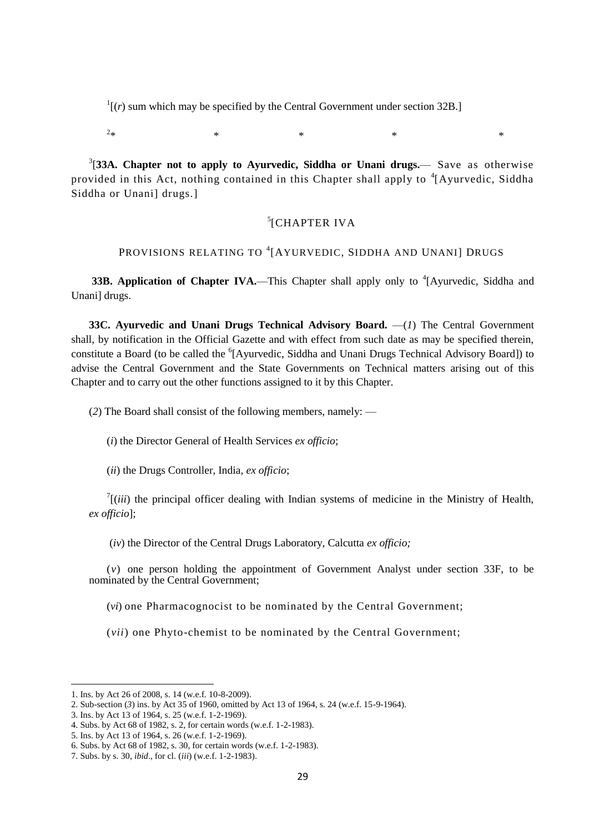$\frac{1}{1}(r)$  sum which may be specified by the Central Government under section 32B.]

 $2*$  $*$  \*  $*$  \*  $*$  \*  $*$  \*

3 [**33A. Chapter not to apply to Ayurvedic, Siddha or Unani drugs.**— Save as otherwise provided in this Act, nothing contained in this Chapter shall apply to <sup>4</sup>[Ayurvedic, Siddha Siddha or Unani] drugs.]

# 5 [CHAPTER IVA

## PROVISIONS RELATING TO <sup>4</sup>[AYURVEDIC, SIDDHA AND UNANI] DRUGS

**33B. Application of Chapter IVA.**—This Chapter shall apply only to <sup>4</sup>[Ayurvedic, Siddha and Unani] drugs.

**33C. Ayurvedic and Unani Drugs Technical Advisory Board.** —(*1*) The Central Government shall, by notification in the Official Gazette and with effect from such date as may be specified therein, constitute a Board (to be called the <sup>6</sup>[Ayurvedic, Siddha and Unani Drugs Technical Advisory Board]) to advise the Central Government and the State Governments on Technical matters arising out of this Chapter and to carry out the other functions assigned to it by this Chapter.

(*2*) The Board shall consist of the following members, namely: —

(*i*) the Director General of Health Services *ex officio*;

(*ii*) the Drugs Controller, India, *ex officio*;

 $\int$ <sup>7</sup>[(*iii*) the principal officer dealing with Indian systems of medicine in the Ministry of Health, *ex officio*];

(*iv*) the Director of the Central Drugs Laboratory, Calcutta *ex officio;*

(*v*) one person holding the appointment of Government Analyst under section 33F, to be nominated by the Central Government;

(*vi*) one Pharmacognocist to be nominated by the Central Government;

(*vii*) one Phyto-chemist to be nominated by the Central Government;

<sup>1.</sup> Ins. by Act 26 of 2008, s. 14 (w.e.f. 10-8-2009).

<sup>2.</sup> Sub-section (*3*) ins. by Act 35 of 1960, omitted by Act 13 of 1964, s. 24 (w.e.f. 15-9-1964).

<sup>3.</sup> Ins. by Act 13 of 1964, s. 25 (w.e.f. 1-2-1969).

<sup>4.</sup> Subs. by Act 68 of 1982, s. 2, for certain words (w.e.f. 1-2-1983).

<sup>5.</sup> Ins. by Act 13 of 1964, s. 26 (w.e.f. 1-2-1969).

<sup>6.</sup> Subs. by Act 68 of 1982, s. 30, for certain words (w.e.f. 1-2-1983).

<sup>7.</sup> Subs. by s. 30, *ibid*., for cl. (*iii*) (w.e.f. 1-2-1983).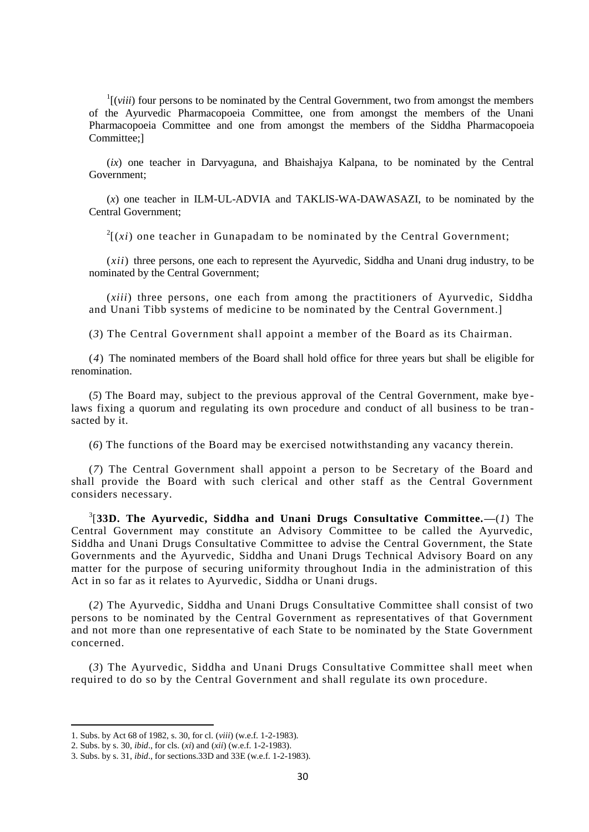$\frac{1}{1}$  (*viii*) four persons to be nominated by the Central Government, two from amongst the members of the Ayurvedic Pharmacopoeia Committee, one from amongst the members of the Unani Pharmacopoeia Committee and one from amongst the members of the Siddha Pharmacopoeia Committee:1

(*ix*) one teacher in Darvyaguna, and Bhaishajya Kalpana, to be nominated by the Central Government;

(*x*) one teacher in ILM-UL-ADVIA and TAKLIS-WA-DAWASAZI, to be nominated by the Central Government;

 $^{2}$ [(*xi*) one teacher in Gunapadam to be nominated by the Central Government;

(*xii*) three persons, one each to represent the Ayurvedic, Siddha and Unani drug industry, to be nominated by the Central Government;

(*xiii*) three persons, one each from among the practitioners of Ayurvedic, Siddha and Unani Tibb systems of medicine to be nominated by the Central Government.]

(*3*) The Central Government shall appoint a member of the Board as its Chairman.

(*4*) The nominated members of the Board shall hold office for three years but shall be eligible for renomination.

(*5*) The Board may, subject to the previous approval of the Central Government, make bye laws fixing a quorum and regulating its own procedure and conduct of all business to be tran sacted by it.

(*6*) The functions of the Board may be exercised notwithstanding any vacancy therein.

(*7*) The Central Government shall appoint a person to be Secretary of the Board and shall provide the Board with such clerical and other staff as the Central Government considers necessary.

3 [**33D. The Ayurvedic, Siddha and Unani Drugs Consultative Committee.—**(*1*) The Central Government may constitute an Advisory Committee to be called the Ayurvedic, Siddha and Unani Drugs Consultative Committee to advise the Central Government, the State Governments and the Ayurvedic, Siddha and Unani Drugs Technical Advisory Board on any matter for the purpose of securing uniformity throughout India in the administration of this Act in so far as it relates to Ayurvedic, Siddha or Unani drugs.

(*2*) The Ayurvedic, Siddha and Unani Drugs Consultative Committee shall consist of two persons to be nominated by the Central Government as representatives of that Government and not more than one representative of each State to be nominated by the State Government concerned.

(*3*) The Ayurvedic, Siddha and Unani Drugs Consultative Committee shall meet when required to do so by the Central Government and shall regulate its own procedure.

<sup>1.</sup> Subs. by Act 68 of 1982, s. 30, for cl. (*viii*) (w.e.f. 1-2-1983).

<sup>2.</sup> Subs. by s. 30, *ibid*., for cls. (*xi*) and (*xii*) (w.e.f. 1-2-1983).

<sup>3.</sup> Subs. by s. 31, *ibid*., for sections.33D and 33E (w.e.f. 1-2-1983).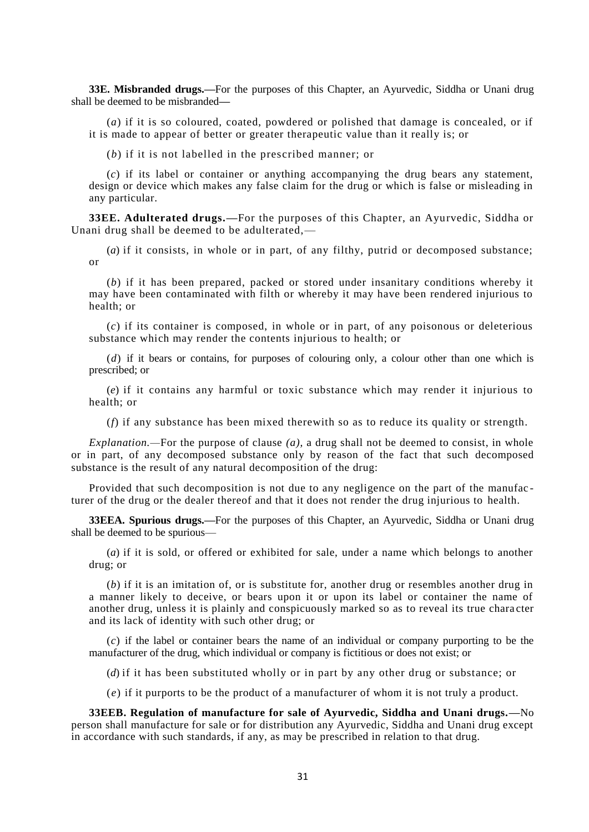**33E. Misbranded drugs.—**For the purposes of this Chapter, an Ayurvedic, Siddha or Unani drug shall be deemed to be misbranded**—**

(*a*) if it is so coloured, coated, powdered or polished that damage is concealed, or if it is made to appear of better or greater therapeutic value than it really is; or

(*b*) if it is not labelled in the prescribed manner; or

(*c*) if its label or container or anything accompanying the drug bears any statement, design or device which makes any false claim for the drug or which is false or misleading in any particular.

**33EE. Adulterated drugs.—**For the purposes of this Chapter, an Ayurvedic, Siddha or Unani drug shall be deemed to be adulterated,—

(*a*) if it consists, in whole or in part, of any filthy, putrid or decomposed substance; or

(*b*) if it has been prepared, packed or stored under insanitary conditions whereby it may have been contaminated with filth or whereby it may have been rendered injurious to health; or

(*c*) if its container is composed, in whole or in part, of any poisonous or deleterious substance which may render the contents injurious to health; or

(*d*) if it bears or contains, for purposes of colouring only, a colour other than one which is prescribed; or

(*e*) if it contains any harmful or toxic substance which may render it injurious to health; or

(*f*) if any substance has been mixed therewith so as to reduce its quality or strength.

*Explanation.—*For the purpose of clause *(a),* a drug shall not be deemed to consist, in whole or in part, of any decomposed substance only by reason of the fact that such decomposed substance is the result of any natural decomposition of the drug:

Provided that such decomposition is not due to any negligence on the part of the manufac turer of the drug or the dealer thereof and that it does not render the drug injurious to health.

**33EEA. Spurious drugs.—**For the purposes of this Chapter, an Ayurvedic, Siddha or Unani drug shall be deemed to be spurious—

(*a*) if it is sold, or offered or exhibited for sale, under a name which belongs to another drug; or

(*b*) if it is an imitation of, or is substitute for, another drug or resembles another drug in a manner likely to deceive, or bears upon it or upon its label or container the name of another drug, unless it is plainly and conspicuously marked so as to reveal its true chara cter and its lack of identity with such other drug; or

(*c*) if the label or container bears the name of an individual or company purporting to be the manufacturer of the drug, which individual or company is fictitious or does not exist; or

(*d*) if it has been substituted wholly or in part by any other drug or substance; or

(*e*) if it purports to be the product of a manufacturer of whom it is not truly a product.

**33EEB. Regulation of manufacture for sale of Ayurvedic, Siddha and Unani drugs.—**No person shall manufacture for sale or for distribution any Ayurvedic, Siddha and Unani drug except in accordance with such standards, if any, as may be prescribed in relation to that drug.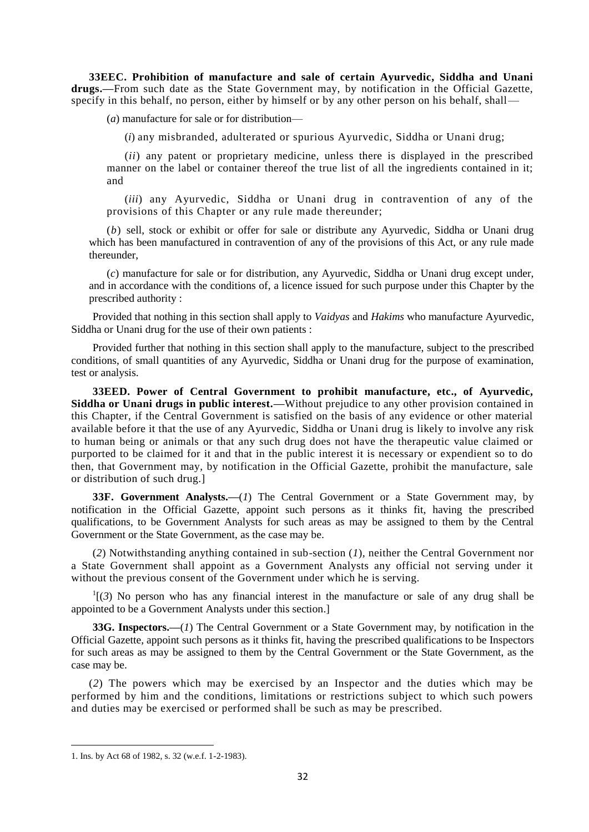**33EEC. Prohibition of manufacture and sale of certain Ayurvedic, Siddha and Unani drugs.—**From such date as the State Government may, by notification in the Official Gazette, specify in this behalf, no person, either by himself or by any other person on his behalf, shall—

(*a*) manufacture for sale or for distribution—

(*i*) any misbranded, adulterated or spurious Ayurvedic, Siddha or Unani drug;

(*ii*) any patent or proprietary medicine, unless there is displayed in the prescribed manner on the label or container thereof the true list of all the ingredients contained in it; and

(*iii*) any Ayurvedic, Siddha or Unani drug in contravention of any of the provisions of this Chapter or any rule made thereunder;

(*b*) sell, stock or exhibit or offer for sale or distribute any Ayurvedic, Siddha or Unani drug which has been manufactured in contravention of any of the provisions of this Act, or any rule made thereunder,

(*c*) manufacture for sale or for distribution, any Ayurvedic, Siddha or Unani drug except under, and in accordance with the conditions of, a licence issued for such purpose under this Chapter by the prescribed authority :

Provided that nothing in this section shall apply to *Vaidyas* and *Hakims* who manufacture Ayurvedic, Siddha or Unani drug for the use of their own patients :

Provided further that nothing in this section shall apply to the manufacture, subject to the prescribed conditions, of small quantities of any Ayurvedic, Siddha or Unani drug for the purpose of examination, test or analysis.

**33EED. Power of Central Government to prohibit manufacture, etc., of Ayurvedic, Siddha or Unani drugs in public interest.—**Without prejudice to any other provision contained in this Chapter, if the Central Government is satisfied on the basis of any evidence or other material available before it that the use of any Ayurvedic, Siddha or Unani drug is likely to involve any risk to human being or animals or that any such drug does not have the therapeutic value claimed or purported to be claimed for it and that in the public interest it is necessary or expendient so to do then, that Government may, by notification in the Official Gazette, prohibit the manufacture, sale or distribution of such drug.]

**33F. Government Analysts.—**(*1*) The Central Government or a State Government may, by notification in the Official Gazette, appoint such persons as it thinks fit, having the prescribed qualifications, to be Government Analysts for such areas as may be assigned to them by the Central Government or the State Government, as the case may be.

(*2*) Notwithstanding anything contained in sub-section (*1*)*,* neither the Central Government nor a State Government shall appoint as a Government Analysts any official not serving under it without the previous consent of the Government under which he is serving.

 $\mathcal{L}^1(\mathcal{J})$  No person who has any financial interest in the manufacture or sale of any drug shall be appointed to be a Government Analysts under this section.]

**33G. Inspectors.—**(*1*) The Central Government or a State Government may, by notification in the Official Gazette, appoint such persons as it thinks fit, having the prescribed qualifications to be Inspectors for such areas as may be assigned to them by the Central Government or the State Government, as the case may be.

(*2*) The powers which may be exercised by an Inspector and the duties which may be performed by him and the conditions, limitations or restrictions subject to which such powers and duties may be exercised or performed shall be such as may be prescribed.

<sup>1.</sup> Ins. by Act 68 of 1982, s. 32 (w.e.f. 1-2-1983).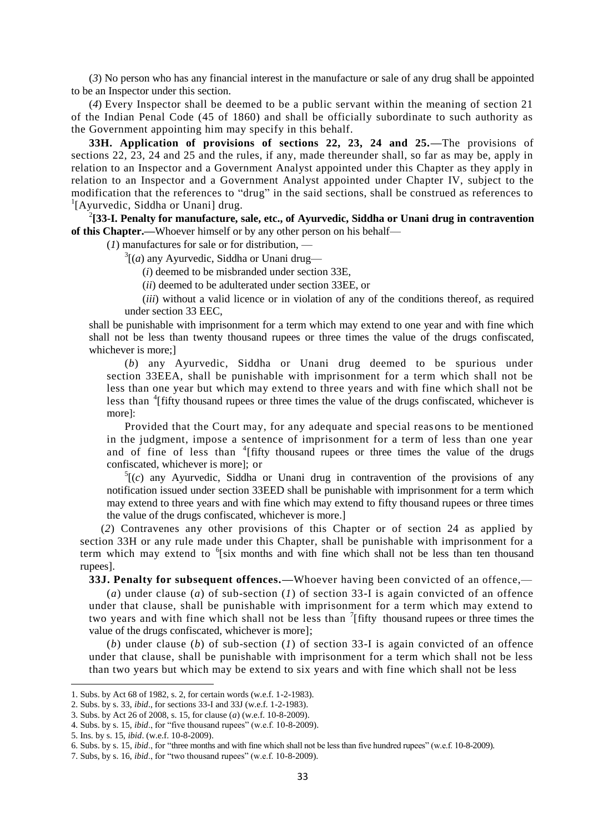(*3*) No person who has any financial interest in the manufacture or sale of any drug shall be appointed to be an Inspector under this section.

(*4*) Every Inspector shall be deemed to be a public servant within the meaning of section 21 of the Indian Penal Code (45 of 1860) and shall be officially subordinate to such authority as the Government appointing him may specify in this behalf.

**33H. Application of provisions of sections 22, 23, 24 and 25.—**The provisions of sections 22, 23, 24 and 25 and the rules, if any, made thereunder shall, so far as may be, apply in relation to an Inspector and a Government Analyst appointed under this Chapter as they apply in relation to an Inspector and a Government Analyst appointed under Chapter IV, subject to the modification that the references to "drug" in the said sections, shall be construed as references to <sup>1</sup>[Ayurvedic, Siddha or Unani] drug.

2 **[33-I. Penalty for manufacture, sale, etc., of Ayurvedic, Siddha or Unani drug in contravention of this Chapter.—**Whoever himself or by any other person on his behalf—

(*1*) manufactures for sale or for distribution, —

 $3[(a)$  any Ayurvedic, Siddha or Unani drug—

(*i*) deemed to be misbranded under section 33E,

(*ii*) deemed to be adulterated under section 33EE, or

(*iii*) without a valid licence or in violation of any of the conditions thereof, as required under section 33 EEC,

shall be punishable with imprisonment for a term which may extend to one year and with fine which shall not be less than twenty thousand rupees or three times the value of the drugs confiscated, whichever is more;]

(*b*) any Ayurvedic, Siddha or Unani drug deemed to be spurious under section 33EEA, shall be punishable with imprisonment for a term which shall not be less than one year but which may extend to three years and with fine which shall not be less than <sup>4</sup>[fifty thousand rupees or three times the value of the drugs confiscated, whichever is more]:

Provided that the Court may, for any adequate and special reas ons to be mentioned in the judgment, impose a sentence of imprisonment for a term of less than one year and of fine of less than <sup>4</sup>[fifty thousand rupees or three times the value of the drugs confiscated, whichever is more]; or

 $5[(c)$  any Ayurvedic, Siddha or Unani drug in contravention of the provisions of any notification issued under section 33EED shall be punishable with imprisonment for a term which may extend to three years and with fine which may extend to fifty thousand rupees or three times the value of the drugs confiscated, whichever is more.]

(*2*) Contravenes any other provisions of this Chapter or of section 24 as applied by section 33H or any rule made under this Chapter, shall be punishable with imprisonment for a term which may extend to <sup>6</sup>[six months and with fine which shall not be less than ten thousand rupees].

**33J. Penalty for subsequent offences.—Whoever having been convicted of an offence,—** 

(*a*) under clause (*a*) of sub-section (*1*) of section 33-I is again convicted of an offence under that clause, shall be punishable with imprisonment for a term which may extend to two years and with fine which shall not be less than  $\frac{7}{1}$  fifty thousand rupees or three times the value of the drugs confiscated, whichever is more];

(*b*) under clause (*b*) of sub-section (*1*) of section 33-I is again convicted of an offence under that clause, shall be punishable with imprisonment for a term which shall not be less than two years but which may be extend to six years and with fine which shall not be less

<sup>1.</sup> Subs. by Act 68 of 1982, s. 2, for certain words (w.e.f. 1-2-1983).

<sup>2.</sup> Subs. by s. 33, *ibid*., for sections 33-I and 33J (w.e.f. 1-2-1983).

<sup>3.</sup> Subs. by Act 26 of 2008, s. 15, for clause (*a*) (w.e.f. 10-8-2009).

<sup>4.</sup> Subs. by s. 15, *ibid*., for "five thousand rupees" (w.e.f. 10-8-2009).

<sup>5.</sup> Ins. by s. 15, *ibid*. (w.e.f. 10-8-2009).

<sup>6.</sup> Subs. by s. 15, *ibid*., for "three months and with fine which shall not be less than five hundred rupees" (w.e.f. 10-8-2009).

<sup>7.</sup> Subs, by s. 16, *ibid*., for "two thousand rupees" (w.e.f. 10-8-2009).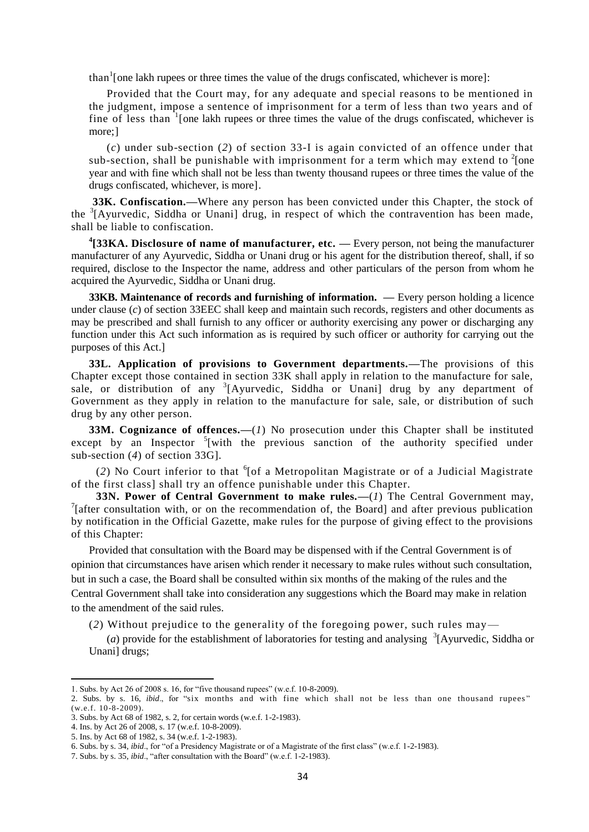than<sup>1</sup> [one lakh rupees or three times the value of the drugs confiscated, whichever is more]:

Provided that the Court may, for any adequate and special reasons to be mentioned in the judgment, impose a sentence of imprisonment for a term of less than two years and of fine of less than  $1$  [one lakh rupees or three times the value of the drugs confiscated, whichever is more;]

(*c*) under sub-section (*2*) of section 33-I is again convicted of an offence under that sub-section, shall be punishable with imprisonment for a term which may extend to  $2$ [one year and with fine which shall not be less than twenty thousand rupees or three times the value of the drugs confiscated, whichever, is more].

**33K. Confiscation.—**Where any person has been convicted under this Chapter, the stock of the <sup>3</sup>[Ayurvedic, Siddha or Unani] drug, in respect of which the contravention has been made, shall be liable to confiscation.

**4 [33KA. Disclosure of name of manufacturer, etc. —** Every person, not being the manufacturer manufacturer of any Ayurvedic, Siddha or Unani drug or his agent for the distribution thereof, shall, if so required, disclose to the Inspector the name, address and other particulars of the person from whom he acquired the Ayurvedic, Siddha or Unani drug.

**33KB. Maintenance of records and furnishing of information. —** Every person holding a licence under clause (*c*) of section 33EEC shall keep and maintain such records, registers and other documents as may be prescribed and shall furnish to any officer or authority exercising any power or discharging any function under this Act such information as is required by such officer or authority for carrying out the purposes of this Act.]

**33L. Application of provisions to Government departments.—**The provisions of this Chapter except those contained in section 33K shall apply in relation to the manufacture for sale, sale, or distribution of any  ${}^{3}$ [Ayurvedic, Siddha or Unani] drug by any department of Government as they apply in relation to the manufacture for sale, sale, or distribution of such drug by any other person.

**33M. Cognizance of offences.—**(*1*) No prosecution under this Chapter shall be instituted except by an Inspector <sup>5</sup>[with the previous sanction of the authority specified under sub-section (*4*) of section 33G].

(2) No Court inferior to that  ${}^{6}$ [of a Metropolitan Magistrate or of a Judicial Magistrate of the first class] shall try an offence punishable under this Chapter.

**33N. Power of Central Government to make rules.—**(*1*) The Central Government may, <sup>7</sup>[after consultation with, or on the recommendation of, the Board] and after previous publication by notification in the Official Gazette, make rules for the purpose of giving effect to the provisions of this Chapter:

Provided that consultation with the Board may be dispensed with if the Central Government is of opinion that circumstances have arisen which render it necessary to make rules without such consultation, but in such a case, the Board shall be consulted within six months of the making of the rules and the Central Government shall take into consideration any suggestions which the Board may make in relation to the amendment of the said rules.

(*2*) Without prejudice to the generality of the foregoing power, such rules may—

(*a*) provide for the establishment of laboratories for testing and analysing  $\frac{3}{2}$ [Ayurvedic, Siddha or Unani] drugs;

<sup>1.</sup> Subs. by Act 26 of 2008 s. 16, for "five thousand rupees" (w.e.f. 10-8-2009).

<sup>2.</sup> Subs. by s. 16, *ibid*., for "six months and with fine which shall not be less than one thousand rupees "  $(w.e.f. 10-8-2009)$ .

<sup>3.</sup> Subs. by Act 68 of 1982, s. 2, for certain words (w.e.f. 1-2-1983).

<sup>4.</sup> Ins. by Act 26 of 2008, s. 17 (w.e.f. 10-8-2009).

<sup>5.</sup> Ins. by Act 68 of 1982, s. 34 (w.e.f. 1-2-1983).

<sup>6.</sup> Subs. by s. 34, *ibid*., for "of a Presidency Magistrate or of a Magistrate of the first class" (w.e.f. 1-2-1983).

<sup>7.</sup> Subs. by s. 35, *ibid*., "after consultation with the Board" (w.e.f. 1-2-1983).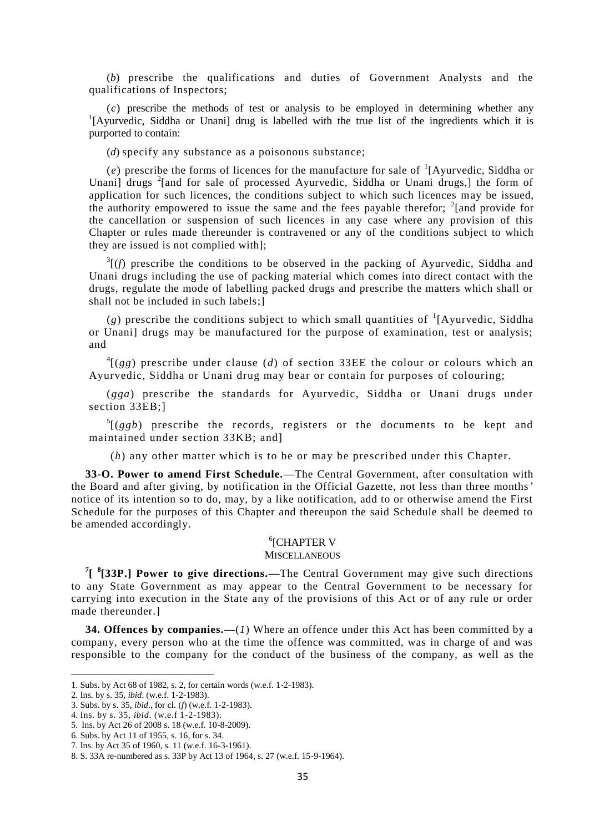(*b*) prescribe the qualifications and duties of Government Analysts and the qualifications of Inspectors;

(*c*) prescribe the methods of test or analysis to be employed in determining whether any <sup>1</sup>[Ayurvedic, Siddha or Unani] drug is labelled with the true list of the ingredients which it is purported to contain:

(*d*) specify any substance as a poisonous substance;

 $(e)$  prescribe the forms of licences for the manufacture for sale of  $\frac{1}{2}$ [Ayurvedic, Siddha or Unani] drugs <sup>2</sup>[and for sale of processed Ayurvedic, Siddha or Unani drugs,] the form of application for such licences, the conditions subject to which such licences may be issued, the authority empowered to issue the same and the fees payable therefor;  $^{2}$ [and provide for the cancellation or suspension of such licences in any case where any provision of this Chapter or rules made thereunder is contravened or any of the conditions subject to which they are issued is not complied with];

 $3(f)$  prescribe the conditions to be observed in the packing of Ayurvedic, Siddha and Unani drugs including the use of packing material which comes into direct contact with the drugs, regulate the mode of labelling packed drugs and prescribe the matters which shall or shall not be included in such labels;]

(g) prescribe the conditions subject to which small quantities of  $\frac{1}{2}$ [Ayurvedic, Siddha or Unani] drugs may be manufactured for the purpose of examination, test or analysis; and

 $^{4}$ [(*gg*) prescribe under clause (*d*) of section 33EE the colour or colours which an Ayurvedic, Siddha or Unani drug may bear or contain for purposes of colouring;

(*gga*) prescribe the standards for Ayurvedic, Siddha or Unani drugs under section 33EB:1

 $5[(ggb)$  prescribe the records, registers or the documents to be kept and maintained under section 33KB; and]

(*h*) any other matter which is to be or may be prescribed under this Chapter.

**33-O. Power to amend First Schedule.—**The Central Government, after consultation with the Board and after giving, by notification in the Official Gazette, not less than three months' notice of its intention so to do, may, by a like notification, add to or otherwise amend the First Schedule for the purposes of this Chapter and thereupon the said Schedule shall be deemed to be amended accordingly.

# 6 [CHAPTER V

#### **MISCELLANEOUS**

**7 [ 8 [33P.] Power to give directions.—**The Central Government may give such directions to any State Government as may appear to the Central Government to be necessary for carrying into execution in the State any of the provisions of this Act or of any rule or order made thereunder.]

**34. Offences by companies.—**(*1*) Where an offence under this Act has been committed by a company, every person who at the time the offence was committed, was in charge of and was responsible to the company for the conduct of the business of the company, as well as the

<sup>1.</sup> Subs. by Act 68 of 1982, s. 2, for certain words (w.e.f. 1-2-1983).

<sup>2.</sup> Ins. by s. 35, *ibid*. (w.e.f. 1-2-1983).

<sup>3.</sup> Subs. by s. 35, *ibid*., for cl. (*f*) (w.e.f. 1-2-1983).

<sup>4.</sup> Ins. by s. 35, *ibid*. (w.e.f 1-2-1983).

<sup>5.</sup> Ins. by Act 26 of 2008 s. 18 (w.e.f. 10-8-2009).

<sup>6.</sup> Subs. by Act 11 of 1955, s. 16, for s. 34.

<sup>7.</sup> Ins. by Act 35 of 1960, s. 11 (w.e.f. 16-3-1961).

<sup>8.</sup> S. 33A re-numbered as s. 33P by Act 13 of 1964, s. 27 (w.e.f. 15-9-1964).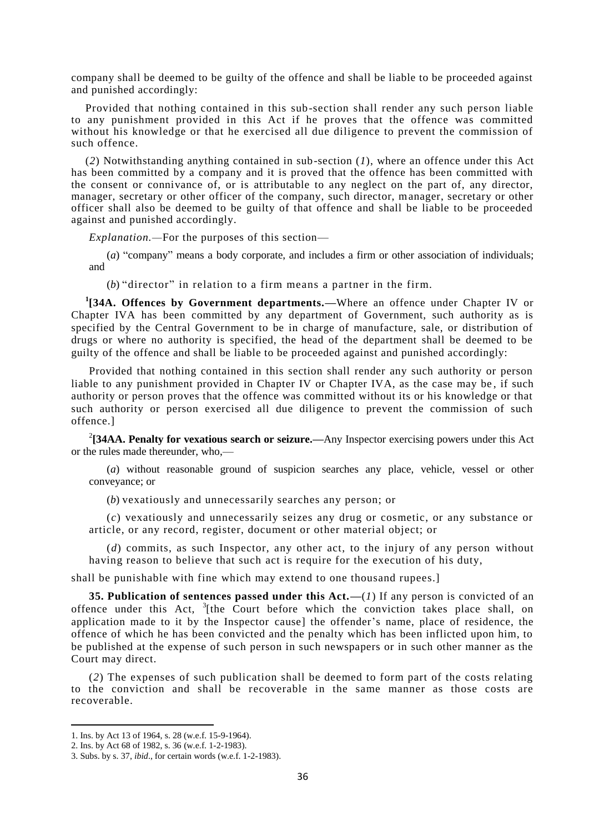company shall be deemed to be guilty of the offence and shall be liable to be proceeded against and punished accordingly:

Provided that nothing contained in this sub-section shall render any such person liable to any punishment provided in this Act if he proves that the offence was committed without his knowledge or that he exercised all due diligence to prevent the commission of such offence.

(*2*) Notwithstanding anything contained in sub-section (*1*), where an offence under this Act has been committed by a company and it is proved that the offence has been committed with the consent or connivance of, or is attributable to any neglect on the part of, any director, manager, secretary or other officer of the company, such director, manager, secretary or other officer shall also be deemed to be guilty of that offence and shall be liable to be proceeded against and punished accordingly.

*Explanation.—*For the purposes of this section—

(*a*) "company" means a body corporate, and includes a firm or other association of individuals; and

(*b*) "director" in relation to a firm means a partner in the firm.

**1 [34A. Offences by Government departments.—**Where an offence under Chapter IV or Chapter IVA has been committed by any department of Government, such authority as is specified by the Central Government to be in charge of manufacture, sale, or distribution of drugs or where no authority is specified, the head of the department shall be deemed to be guilty of the offence and shall be liable to be proceeded against and punished accordingly:

Provided that nothing contained in this section shall render any such authority or person liable to any punishment provided in Chapter IV or Chapter IVA, as the case may be , if such authority or person proves that the offence was committed without its or his knowledge or that such authority or person exercised all due diligence to prevent the commission of such offence.]

<sup>2</sup>[34AA. Penalty for vexatious search or seizure.—Any Inspector exercising powers under this Act or the rules made thereunder, who,—

(*a*) without reasonable ground of suspicion searches any place, vehicle, vessel or other conveyance; or

(*b*) vexatiously and unnecessarily searches any person; or

(*c*) vexatiously and unnecessarily seizes any drug or cosmetic, or any substance or article, or any record, register, document or other material object; or

(*d*) commits, as such Inspector, any other act, to the injury of any person without having reason to believe that such act is require for the execution of his duty,

shall be punishable with fine which may extend to one thousand rupees.]

**35. Publication of sentences passed under this Act.—**(*1*) If any person is convicted of an offence under this Act, <sup>3</sup>[the Court before which the conviction takes place shall, on application made to it by the Inspector cause] the offender's name, place of residence, the offence of which he has been convicted and the penalty which has been inflicted upon him, to be published at the expense of such person in such newspapers or in such other manner as the Court may direct.

(*2*) The expenses of such publication shall be deemed to form part of the costs relating to the conviction and shall be recoverable in the same manner as those costs are recoverable.

<sup>1.</sup> Ins. by Act 13 of 1964, s. 28 (w.e.f. 15-9-1964).

<sup>2.</sup> Ins. by Act 68 of 1982, s. 36 (w.e.f. 1-2-1983).

<sup>3.</sup> Subs. by s. 37, *ibid*., for certain words (w.e.f. 1-2-1983).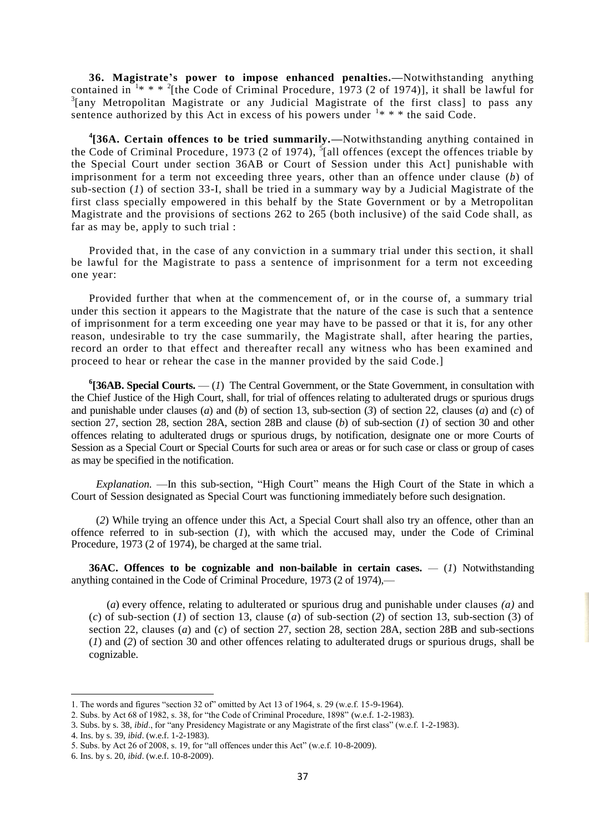**36. Magistrate's power to impose enhanced penalties.—**Notwithstanding anything contained in  $1* * * 2$ [the Code of Criminal Procedure, 1973 (2 of 1974)], it shall be lawful for <sup>3</sup>[any Metropolitan Magistrate or any Judicial Magistrate of the first class] to pass any sentence authorized by this Act in excess of his powers under  $1$ \* \* \* the said Code.

**4 [36A. Certain offences to be tried summarily.—**Notwithstanding anything contained in the Code of Criminal Procedure, 1973 (2 of 1974),  $\frac{5}{2}$  [all offences (except the offences triable by the Special Court under section 36AB or Court of Session under this Act] punishable with imprisonment for a term not exceeding three years, other than an offence under clause (*b*) of sub-section (*1*) of section 33-I, shall be tried in a summary way by a Judicial Magistrate of the first class specially empowered in this behalf by the State Government or by a Metropolitan Magistrate and the provisions of sections 262 to 265 (both inclusive) of the said Code shall, as far as may be, apply to such trial :

Provided that, in the case of any conviction in a summary trial under this section, it shall be lawful for the Magistrate to pass a sentence of imprisonment for a term not exceeding one year:

Provided further that when at the commencement of, or in the course of, a summary trial under this section it appears to the Magistrate that the nature of the case is such that a sentence of imprisonment for a term exceeding one year may have to be passed or that it is, for any other reason, undesirable to try the case summarily, the Magistrate shall, after hearing the parties, record an order to that effect and thereafter recall any witness who has been examined and proceed to hear or rehear the case in the manner provided by the said Code.]

**6 [36AB. Special Courts.** — (*1*) The Central Government, or the State Government, in consultation with the Chief Justice of the High Court, shall, for trial of offences relating to adulterated drugs or spurious drugs and punishable under clauses (*a*) and (*b*) of section 13, sub-section (*3*) of section 22, clauses (*a*) and (*c*) of section 27, section 28, section 28A, section 28B and clause (*b*) of sub-section (*1*) of section 30 and other offences relating to adulterated drugs or spurious drugs, by notification, designate one or more Courts of Session as a Special Court or Special Courts for such area or areas or for such case or class or group of cases as may be specified in the notification.

*Explanation.* —In this sub-section, "High Court" means the High Court of the State in which a Court of Session designated as Special Court was functioning immediately before such designation.

(*2*) While trying an offence under this Act, a Special Court shall also try an offence, other than an offence referred to in sub-section (*1*)*,* with which the accused may, under the Code of Criminal Procedure, 1973 (2 of 1974), be charged at the same trial.

**36AC. Offences to be cognizable and non-bailable in certain cases.** — (*1*) Notwithstanding anything contained in the Code of Criminal Procedure, 1973 (2 of 1974),—

(*a*) every offence, relating to adulterated or spurious drug and punishable under clauses *(a)* and (*c*) of sub-section (*1*) of section 13, clause (*a*) of sub-section (*2*) of section 13, sub-section (3) of section 22, clauses (*a*) and (*c*) of section 27, section 28, section 28A, section 28B and sub-sections (*1*) and (*2*) of section 30 and other offences relating to adulterated drugs or spurious drugs, shall be cognizable.

4. Ins. by s. 39, *ibid*. (w.e.f. 1-2-1983).

<sup>1.</sup> The words and figures "section 32 of" omitted by Act 13 of 1964, s. 29 (w.e.f. 15-9-1964).

<sup>2.</sup> Subs. by Act 68 of 1982, s. 38, for "the Code of Criminal Procedure, 1898" (w.e.f. 1-2-1983).

<sup>3.</sup> Subs. by s. 38, *ibid*., for "any Presidency Magistrate or any Magistrate of the first class" (w.e.f. 1-2-1983).

<sup>5.</sup> Subs. by Act 26 of 2008, s. 19, for "all offences under this Act" (w.e.f. 10-8-2009).

<sup>6.</sup> Ins. by s. 20, *ibid*. (w.e.f. 10-8-2009).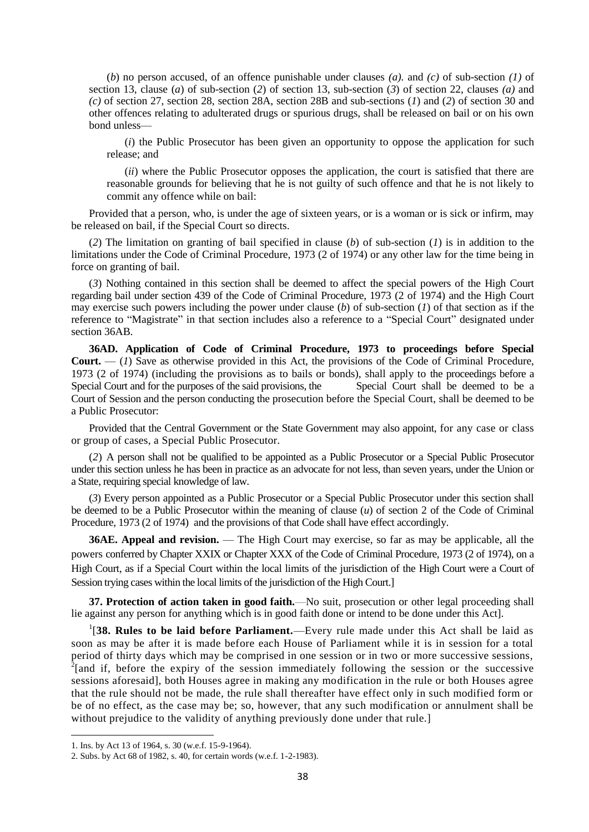(*b*) no person accused, of an offence punishable under clauses *(a).* and *(c)* of sub-section *(1)* of section 13, clause (*a*) of sub-section (*2*) of section 13, sub-section (*3*) of section 22, clauses *(a)* and *(c)* of section 27, section 28, section 28A, section 28B and sub-sections (*1*) and (*2*) of section 30 and other offences relating to adulterated drugs or spurious drugs, shall be released on bail or on his own bond unless—

(*i*) the Public Prosecutor has been given an opportunity to oppose the application for such release; and

(*ii*) where the Public Prosecutor opposes the application, the court is satisfied that there are reasonable grounds for believing that he is not guilty of such offence and that he is not likely to commit any offence while on bail:

Provided that a person, who, is under the age of sixteen years, or is a woman or is sick or infirm, may be released on bail, if the Special Court so directs.

(*2*) The limitation on granting of bail specified in clause (*b*) of sub-section (*1*) is in addition to the limitations under the Code of Criminal Procedure, 1973 (2 of 1974) or any other law for the time being in force on granting of bail.

(*3*) Nothing contained in this section shall be deemed to affect the special powers of the High Court regarding bail under section 439 of the Code of Criminal Procedure, 1973 (2 of 1974) and the High Court may exercise such powers including the power under clause (*b*) of sub-section (*1*) of that section as if the reference to "Magistrate" in that section includes also a reference to a "Special Court" designated under section 36AB.

**36AD. Application of Code of Criminal Procedure, 1973 to proceedings before Special Court.**  $-$  (*1*) Save as otherwise provided in this Act, the provisions of the Code of Criminal Procedure, 1973 (2 of 1974) (including the provisions as to bails or bonds), shall apply to the proceedings before a Special Court and for the purposes of the said provisions, the Special Court shall be deemed to be a Court of Session and the person conducting the prosecution before the Special Court, shall be deemed to be a Public Prosecutor:

Provided that the Central Government or the State Government may also appoint, for any case or class or group of cases, a Special Public Prosecutor.

(*2*) A person shall not be qualified to be appointed as a Public Prosecutor or a Special Public Prosecutor under this section unless he has been in practice as an advocate for not less, than seven years, under the Union or a State, requiring special knowledge of law.

(*3*) Every person appointed as a Public Prosecutor or a Special Public Prosecutor under this section shall be deemed to be a Public Prosecutor within the meaning of clause (*u*) of section 2 of the Code of Criminal Procedure, 1973 (2 of 1974) and the provisions of that Code shall have effect accordingly.

**36AE. Appeal and revision.** — The High Court may exercise, so far as may be applicable, all the powers conferred by Chapter XXIX or Chapter XXX of the Code of Criminal Procedure, 1973 (2 of 1974), on a High Court, as if a Special Court within the local limits of the jurisdiction of the High Court were a Court of Session trying cases within the local limits of the jurisdiction of the High Court.]

**37. Protection of action taken in good faith.**—No suit, prosecution or other legal proceeding shall lie against any person for anything which is in good faith done or intend to be done under this Act].

<sup>1</sup>[38. Rules to be laid before Parliament.—Every rule made under this Act shall be laid as soon as may be after it is made before each House of Parliament while it is in session for a total period of thirty days which may be comprised in one session or in two or more successive sessions,  $2$ [and if, before the expiry of the session immediately following the session or the successive sessions aforesaid], both Houses agree in making any modification in the rule or both Houses agree that the rule should not be made, the rule shall thereafter have effect only in such modified form or be of no effect, as the case may be; so, however, that any such modification or annulment shall be without prejudice to the validity of anything previously done under that rule.

<sup>1.</sup> Ins. by Act 13 of 1964, s. 30 (w.e.f. 15-9-1964).

<sup>2.</sup> Subs. by Act 68 of 1982, s. 40, for certain words (w.e.f. 1-2-1983).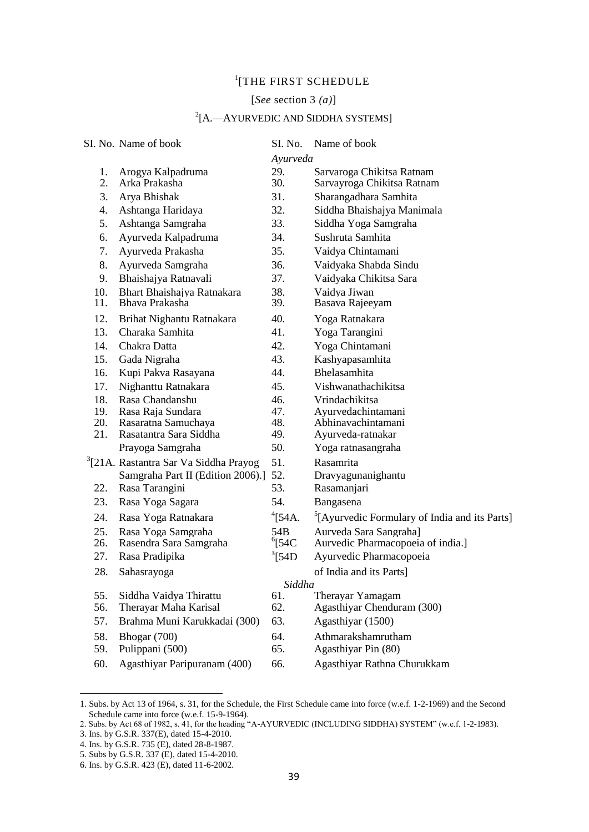# 1 [THE FIRST SCHEDULE

### [*See* section 3 *(a)*]

## <sup>2</sup>[A.—AYURVEDIC AND SIDDHA SYSTEMS]

|        | SI. No. Name of book                              | SI. No.             | Name of book                                              |  |  |
|--------|---------------------------------------------------|---------------------|-----------------------------------------------------------|--|--|
|        | Ayurveda                                          |                     |                                                           |  |  |
| 1.     | Arogya Kalpadruma                                 | 29.                 | Sarvaroga Chikitsa Ratnam                                 |  |  |
| 2.     | Arka Prakasha                                     | 30.                 | Sarvayroga Chikitsa Ratnam                                |  |  |
| 3.     | Arya Bhishak                                      | 31.                 | Sharangadhara Samhita                                     |  |  |
| 4.     | Ashtanga Haridaya                                 | 32.                 | Siddha Bhaishajya Manimala                                |  |  |
| 5.     | Ashtanga Samgraha                                 | 33.                 | Siddha Yoga Samgraha                                      |  |  |
| 6.     | Ayurveda Kalpadruma                               | 34.                 | Sushruta Samhita                                          |  |  |
| 7.     | Ayurveda Prakasha                                 | 35.                 | Vaidya Chintamani                                         |  |  |
| 8.     | Ayurveda Samgraha                                 | 36.                 | Vaidyaka Shabda Sindu                                     |  |  |
| 9.     | Bhaishajya Ratnavali                              | 37.                 | Vaidyaka Chikitsa Sara                                    |  |  |
| 10.    | Bhart Bhaishajya Ratnakara                        | 38.                 | Vaidya Jiwan                                              |  |  |
| 11.    | Bhava Prakasha                                    | 39.                 | Basava Rajeeyam                                           |  |  |
| 12.    | Brihat Nighantu Ratnakara                         | 40.                 | Yoga Ratnakara                                            |  |  |
| 13.    | Charaka Samhita                                   | 41.                 | Yoga Tarangini                                            |  |  |
| 14.    | Chakra Datta                                      | 42.                 | Yoga Chintamani                                           |  |  |
| 15.    | Gada Nigraha                                      | 43.                 | Kashyapasamhita                                           |  |  |
| 16.    | Kupi Pakva Rasayana                               | 44.                 | Bhelasamhita                                              |  |  |
| 17.    | Nighanttu Ratnakara                               | 45.                 | Vishwanathachikitsa                                       |  |  |
| 18.    | Rasa Chandanshu                                   | 46.                 | Vrindachikitsa                                            |  |  |
| 19.    | Rasa Raja Sundara                                 | 47.                 | Ayurvedachintamani                                        |  |  |
| 20.    | Rasaratna Samuchaya                               | 48.                 | Abhinavachintamani                                        |  |  |
| 21.    | Rasatantra Sara Siddha                            | 49.                 | Ayurveda-ratnakar                                         |  |  |
|        | Prayoga Samgraha                                  | 50.                 | Yoga ratnasangraha                                        |  |  |
|        | <sup>3</sup> [21A. Rastantra Sar Va Siddha Prayog | 51.                 | Rasamrita                                                 |  |  |
|        | Samgraha Part II (Edition 2006).]                 | 52.                 | Dravyagunanighantu                                        |  |  |
| 22.    | Rasa Tarangini                                    | 53.                 | Rasamanjari                                               |  |  |
| 23.    | Rasa Yoga Sagara                                  | 54.                 | Bangasena                                                 |  |  |
| 24.    | Rasa Yoga Ratnakara                               | $^{4}$ [54A.        | <sup>5</sup> [Ayurvedic Formulary of India and its Parts] |  |  |
| 25.    | Rasa Yoga Samgraha                                | 54B                 | Aurveda Sara Sangraha]                                    |  |  |
| 26.    | Rasendra Sara Samgraha                            | $\mathrm{^{6}$ [54C | Aurvedic Pharmacopoeia of india.]                         |  |  |
| 27.    | Rasa Pradipika                                    | $3$ [54D            | Ayurvedic Pharmacopoeia                                   |  |  |
| 28.    | Sahasrayoga                                       |                     | of India and its Parts]                                   |  |  |
| Siddha |                                                   |                     |                                                           |  |  |
| 55.    | Siddha Vaidya Thirattu                            | 61.                 | Therayar Yamagam                                          |  |  |
| 56.    | Therayar Maha Karisal                             | 62.                 | Agasthiyar Chenduram (300)                                |  |  |
| 57.    | Brahma Muni Karukkadai (300)                      | 63.                 | Agasthiyar (1500)                                         |  |  |
| 58.    | Bhogar (700)                                      | 64.                 | Athmarakshamrutham                                        |  |  |
| 59.    | Pulippani (500)                                   | 65.                 | Agasthiyar Pin (80)                                       |  |  |
| 60.    | Agasthiyar Paripuranam (400)                      | 66.                 | Agasthiyar Rathna Churukkam                               |  |  |

<sup>1.</sup> Subs. by Act 13 of 1964, s. 31, for the Schedule, the First Schedule came into force (w.e.f. 1-2-1969) and the Second Schedule came into force (w.e.f. 15-9-1964).

<sup>2.</sup> Subs. by Act 68 of 1982, s. 41, for the heading "A-AYURVEDIC (INCLUDING SIDDHA) SYSTEM" (w.e.f. 1-2-1983).

<sup>3.</sup> Ins. by G.S.R. 337(E), dated 15-4-2010.

<sup>4.</sup> Ins. by G.S.R. 735 (E), dated 28-8-1987.

<sup>5.</sup> Subs by G.S.R. 337 (E), dated 15-4-2010.

<sup>6.</sup> Ins. by G.S.R. 423 (E), dated 11-6-2002.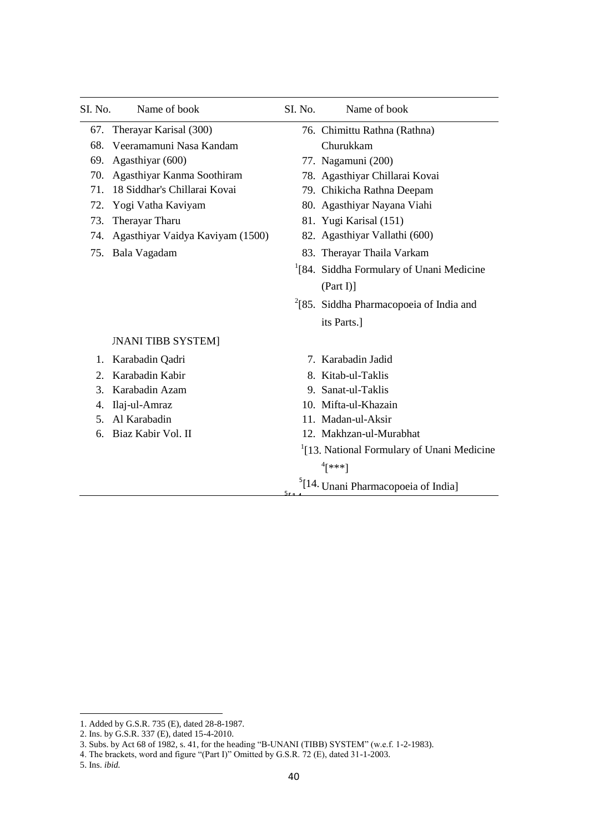| SI. No.          | Name of book                     | SI. No. | Name of book                                           |
|------------------|----------------------------------|---------|--------------------------------------------------------|
| 67.              | Therayar Karisal (300)           |         | 76. Chimittu Rathna (Rathna)                           |
| 68.              | Veeramamuni Nasa Kandam          |         | Churukkam                                              |
| 69.              | Agasthiyar (600)                 |         | 77. Nagamuni (200)                                     |
| 70.              | Agasthiyar Kanma Soothiram       |         | 78. Agasthiyar Chillarai Kovai                         |
| 71.              | 18 Siddhar's Chillarai Kovai     |         | 79. Chikicha Rathna Deepam                             |
| 72.              | Yogi Vatha Kaviyam               |         | 80. Agasthiyar Nayana Viahi                            |
| 73.              | Therayar Tharu                   |         | 81. Yugi Karisal (151)                                 |
| 74.              | Agasthiyar Vaidya Kaviyam (1500) |         | 82. Agasthiyar Vallathi (600)                          |
|                  | 75. Bala Vagadam                 |         | 83. Therayar Thaila Varkam                             |
|                  |                                  |         | <sup>1</sup> [84. Siddha Formulary of Unani Medicine   |
|                  |                                  |         | (Part I)                                               |
|                  |                                  |         | $2$ [85. Siddha Pharmacopoeia of India and             |
|                  |                                  |         | its Parts.]                                            |
|                  | <b>JNANI TIBB SYSTEM]</b>        |         |                                                        |
| 1.               | Karabadin Qadri                  |         | 7. Karabadin Jadid                                     |
| $\overline{2}$ . | Karabadin Kabir                  |         | 8. Kitab-ul-Taklis                                     |
| 3.               | Karabadin Azam                   |         | 9. Sanat-ul-Taklis                                     |
| 4.               | Ilaj-ul-Amraz                    |         | 10. Mifta-ul-Khazain                                   |
| 5.               | Al Karabadin                     |         | 11. Madan-ul-Aksir                                     |
| 6.               | Biaz Kabir Vol. II               |         | 12. Makhzan-ul-Murabhat                                |
|                  |                                  |         | <sup>1</sup> [13. National Formulary of Unani Medicine |
|                  |                                  |         | $^{4}$ [***]                                           |
|                  |                                  | 5e s    | <sup>9</sup> [14. Unani Pharmacopoeia of India]        |

 $\frac{14.4}{1}$ 

<sup>1.</sup> Added by G.S.R. 735 (E), dated 28-8-1987.

<sup>2.</sup> Ins. by G.S.R. 337 (E), dated 15-4-2010.

<sup>3.</sup> Subs. by Act 68 of 1982, s. 41, for the heading "B-UNANI (TIBB) SYSTEM" (w.e.f. 1-2-1983).

<sup>4.</sup> The brackets, word and figure "(Part I)" Omitted by G.S.R. 72 (E), dated 31-1-2003.

<sup>5.</sup> Ins. *ibid.*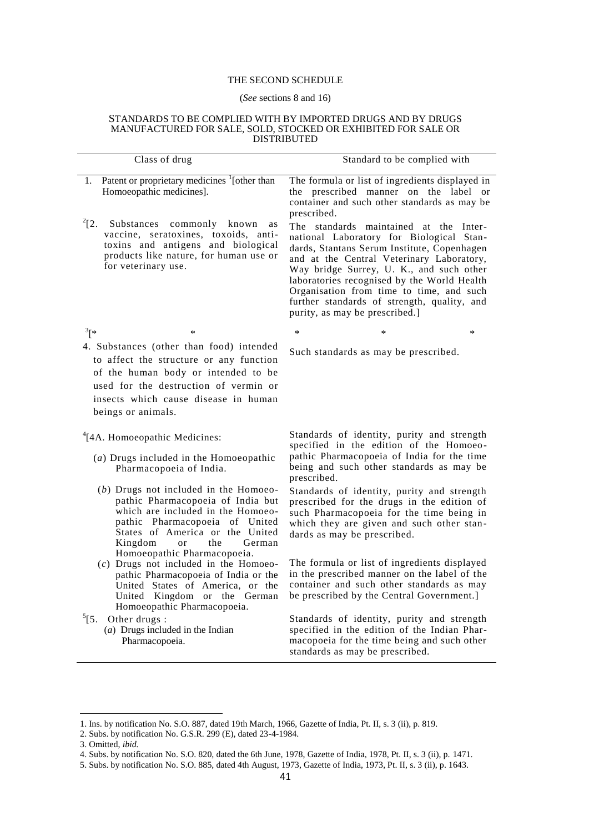#### THE SECOND SCHEDULE

#### (*See* sections 8 and 16)

#### STANDARDS TO BE COMPLIED WITH BY IMPORTED DRUGS AND BY DRUGS MANUFACTURED FOR SALE, SOLD, STOCKED OR EXHIBITED FOR SALE OR DISTRIBUTED

| Class of drug                                                                                                                                                                                                                     | Standard to be complied with                                                                                                                                                                                                                                                                                                                                                                           |
|-----------------------------------------------------------------------------------------------------------------------------------------------------------------------------------------------------------------------------------|--------------------------------------------------------------------------------------------------------------------------------------------------------------------------------------------------------------------------------------------------------------------------------------------------------------------------------------------------------------------------------------------------------|
| Patent or proprietary medicines <sup>1</sup> [other than<br>1.<br>Homoeopathic medicines].                                                                                                                                        | The formula or list of ingredients displayed in<br>the prescribed manner on the label or<br>container and such other standards as may be<br>prescribed.                                                                                                                                                                                                                                                |
| $^{2}[2.$<br>Substances<br>commonly known<br>as<br>vaccine, seratoxines, toxoids, anti-<br>toxins and antigens and biological<br>products like nature, for human use or<br>for veterinary use.                                    | The standards maintained at the Inter-<br>national Laboratory for Biological Stan-<br>dards, Stantans Serum Institute, Copenhagen<br>and at the Central Veterinary Laboratory,<br>Way bridge Surrey, U. K., and such other<br>laboratories recognised by the World Health<br>Organisation from time to time, and such<br>further standards of strength, quality, and<br>purity, as may be prescribed.] |
| $\frac{3}{5}$<br>*                                                                                                                                                                                                                | $\ast$<br>$\ast$<br>*                                                                                                                                                                                                                                                                                                                                                                                  |
| 4. Substances (other than food) intended<br>to affect the structure or any function<br>of the human body or intended to be<br>used for the destruction of vermin or<br>insects which cause disease in human<br>beings or animals. | Such standards as may be prescribed.                                                                                                                                                                                                                                                                                                                                                                   |
| <sup>4</sup> [4A. Homoeopathic Medicines:<br>$(a)$ Drugs included in the Homoeopathic<br>Pharmacopoeia of India.                                                                                                                  | Standards of identity, purity and strength<br>specified in the edition of the Homoeo-<br>pathic Pharmacopoeia of India for the time<br>being and such other standards as may be<br>prescribed.                                                                                                                                                                                                         |
| $(b)$ Drugs not included in the Homoeo-<br>pathic Pharmacopoeia of India but<br>which are included in the Homoeo-<br>pathic Pharmacopoeia of United<br>States of America or the United<br>Kingdom<br>the<br>German<br>or          | Standards of identity, purity and strength<br>prescribed for the drugs in the edition of<br>such Pharmacopoeia for the time being in<br>which they are given and such other stan-<br>dards as may be prescribed.                                                                                                                                                                                       |
| Homoeopathic Pharmacopoeia.<br>$(c)$ Drugs not included in the Homoeo-<br>pathic Pharmacopoeia of India or the<br>United States of America, or the<br>United Kingdom or the German<br>Homoeopathic Pharmacopoeia.                 | The formula or list of ingredients displayed<br>in the prescribed manner on the label of the<br>container and such other standards as may<br>be prescribed by the Central Government.]                                                                                                                                                                                                                 |
| $^{5}$ [5.<br>Other drugs :<br>$(a)$ Drugs included in the Indian<br>Pharmacopoeia.                                                                                                                                               | Standards of identity, purity and strength<br>specified in the edition of the Indian Phar-<br>macopoeia for the time being and such other<br>standards as may be prescribed.                                                                                                                                                                                                                           |

<sup>1.</sup> Ins. by notification No. S.O. 887, dated 19th March, 1966, Gazette of India, Pt. II, s. 3 (ii), p. 819.

<sup>2.</sup> Subs. by notification No. G.S.R. 299 (E), dated 23-4-1984.

<sup>3.</sup> Omitted, *ibid.*

<sup>4.</sup> Subs. by notification No. S.O. 820, dated the 6th June, 1978, Gazette of India, 1978, Pt. II, s. 3 (ii), p. 1471.

<sup>5.</sup> Subs. by notification No. S.O. 885, dated 4th August, 1973, Gazette of India, 1973, Pt. II, s. 3 (ii), p. 1643.